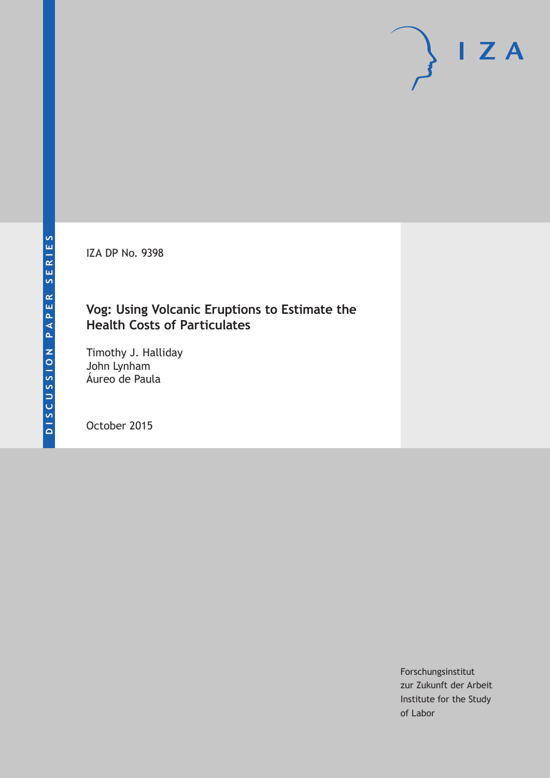IZA DP No. 9398

## **Vog: Using Volcanic Eruptions to Estimate the Health Costs of Particulates**

Timothy J. Halliday John Lynham Áureo de Paula

October 2015

Forschungsinstitut zur Zukunft der Arbeit Institute for the Study of Labor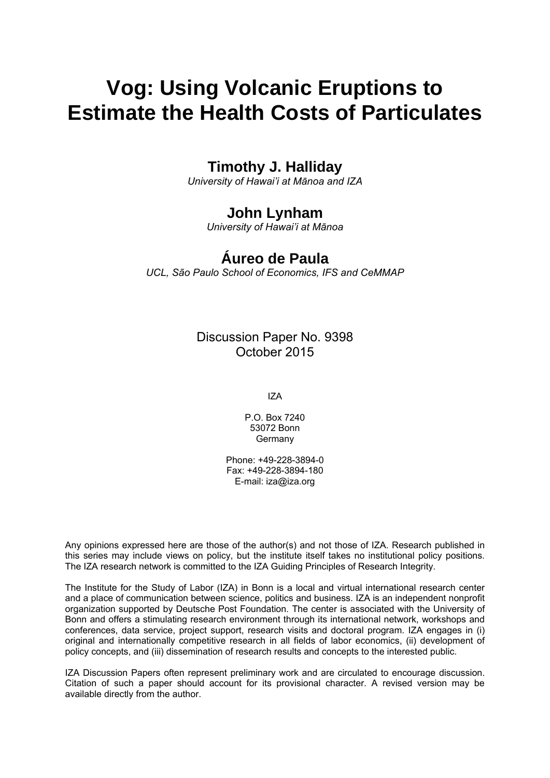# **Vog: Using Volcanic Eruptions to Estimate the Health Costs of Particulates**

# **Timothy J. Halliday**

*University of Hawai'i at Mānoa and IZA* 

# **John Lynham**

*University of Hawai'i at Mānoa* 

# **Áureo de Paula**

*UCL, São Paulo School of Economics, IFS and CeMMAP*

Discussion Paper No. 9398 October 2015

IZA

P.O. Box 7240 53072 Bonn Germany

Phone: +49-228-3894-0 Fax: +49-228-3894-180 E-mail: iza@iza.org

Any opinions expressed here are those of the author(s) and not those of IZA. Research published in this series may include views on policy, but the institute itself takes no institutional policy positions. The IZA research network is committed to the IZA Guiding Principles of Research Integrity.

The Institute for the Study of Labor (IZA) in Bonn is a local and virtual international research center and a place of communication between science, politics and business. IZA is an independent nonprofit organization supported by Deutsche Post Foundation. The center is associated with the University of Bonn and offers a stimulating research environment through its international network, workshops and conferences, data service, project support, research visits and doctoral program. IZA engages in (i) original and internationally competitive research in all fields of labor economics, (ii) development of policy concepts, and (iii) dissemination of research results and concepts to the interested public.

IZA Discussion Papers often represent preliminary work and are circulated to encourage discussion. Citation of such a paper should account for its provisional character. A revised version may be available directly from the author.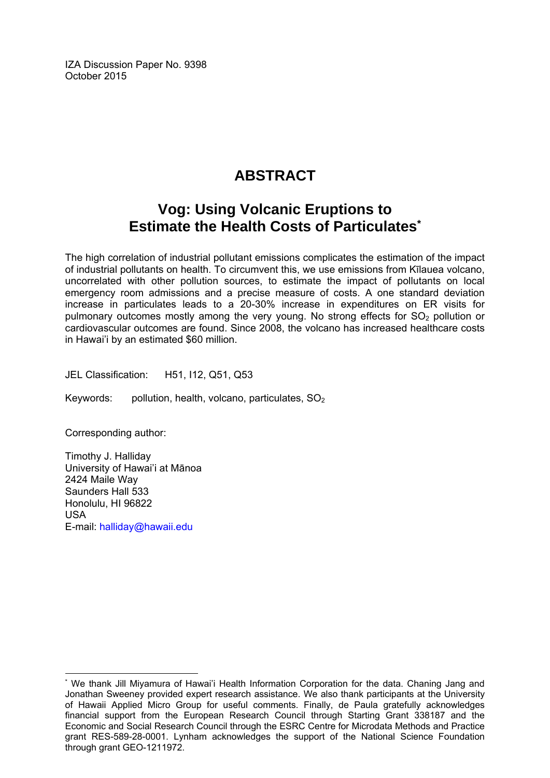IZA Discussion Paper No. 9398 October 2015

# **ABSTRACT**

# **Vog: Using Volcanic Eruptions to Estimate the Health Costs of Particulates\***

The high correlation of industrial pollutant emissions complicates the estimation of the impact of industrial pollutants on health. To circumvent this, we use emissions from Kīlauea volcano, uncorrelated with other pollution sources, to estimate the impact of pollutants on local emergency room admissions and a precise measure of costs. A one standard deviation increase in particulates leads to a 20-30% increase in expenditures on ER visits for pulmonary outcomes mostly among the very young. No strong effects for  $SO<sub>2</sub>$  pollution or cardiovascular outcomes are found. Since 2008, the volcano has increased healthcare costs in Hawai'i by an estimated \$60 million.

JEL Classification: H51, I12, Q51, Q53

Keywords: pollution, health, volcano, particulates, SO<sub>2</sub>

Corresponding author:

 $\overline{a}$ 

Timothy J. Halliday University of Hawai'i at Mānoa 2424 Maile Way Saunders Hall 533 Honolulu, HI 96822 USA E-mail: halliday@hawaii.edu

<sup>\*</sup> We thank Jill Miyamura of Hawai'i Health Information Corporation for the data. Chaning Jang and Jonathan Sweeney provided expert research assistance. We also thank participants at the University of Hawaii Applied Micro Group for useful comments. Finally, de Paula gratefully acknowledges financial support from the European Research Council through Starting Grant 338187 and the Economic and Social Research Council through the ESRC Centre for Microdata Methods and Practice grant RES-589-28-0001. Lynham acknowledges the support of the National Science Foundation through grant GEO-1211972.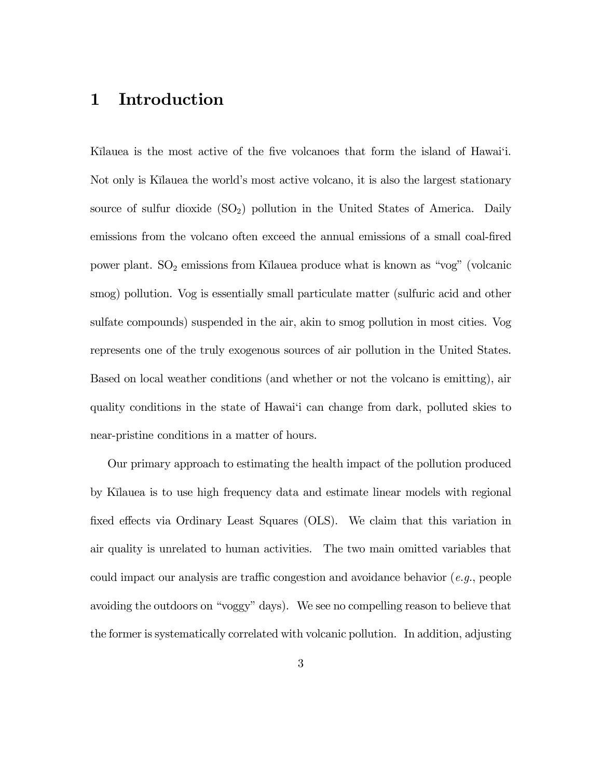### 1 Introduction

Kilauea is the most active of the five volcanoes that form the island of Hawai'i. Not only is Kilauea the world's most active volcano, it is also the largest stationary source of sulfur dioxide  $(SO_2)$  pollution in the United States of America. Daily emissions from the volcano often exceed the annual emissions of a small coal-fired power plant.  $SO_2$  emissions from Kīlauea produce what is known as "vog" (volcanic smog) pollution. Vog is essentially small particulate matter (sulfuric acid and other sulfate compounds) suspended in the air, akin to smog pollution in most cities. Vog represents one of the truly exogenous sources of air pollution in the United States. Based on local weather conditions (and whether or not the volcano is emitting), air quality conditions in the state of Hawai'i can change from dark, polluted skies to near-pristine conditions in a matter of hours.

Our primary approach to estimating the health impact of the pollution produced by K¯ılauea is to use high frequency data and estimate linear models with regional fixed effects via Ordinary Least Squares (OLS). We claim that this variation in air quality is unrelated to human activities. The two main omitted variables that could impact our analysis are traffic congestion and avoidance behavior (e.g., people avoiding the outdoors on "voggy" days). We see no compelling reason to believe that the former is systematically correlated with volcanic pollution. In addition, adjusting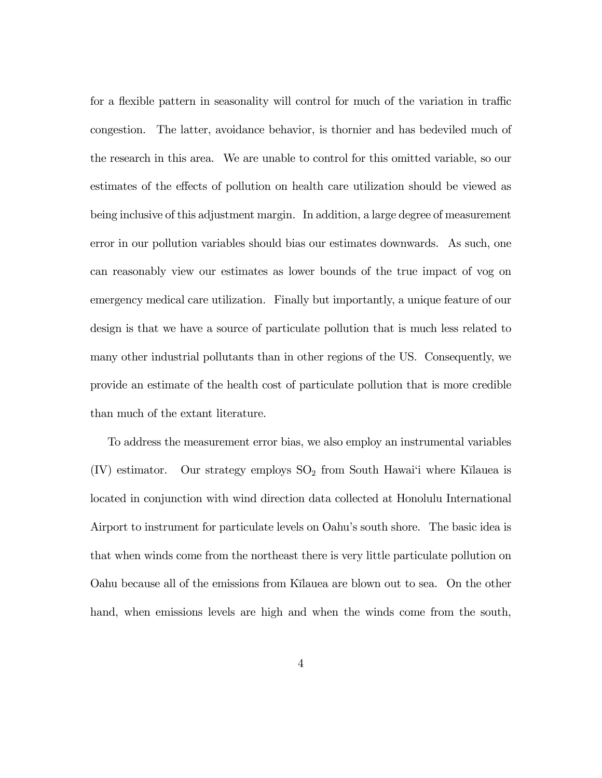for a flexible pattern in seasonality will control for much of the variation in traffic congestion. The latter, avoidance behavior, is thornier and has bedeviled much of the research in this area. We are unable to control for this omitted variable, so our estimates of the effects of pollution on health care utilization should be viewed as being inclusive of this adjustment margin. In addition, a large degree of measurement error in our pollution variables should bias our estimates downwards. As such, one can reasonably view our estimates as lower bounds of the true impact of vog on emergency medical care utilization. Finally but importantly, a unique feature of our design is that we have a source of particulate pollution that is much less related to many other industrial pollutants than in other regions of the US. Consequently, we provide an estimate of the health cost of particulate pollution that is more credible than much of the extant literature.

To address the measurement error bias, we also employ an instrumental variables  $(IV)$  estimator. Our strategy employs  $SO<sub>2</sub>$  from South Hawai'i where Kilauea is located in conjunction with wind direction data collected at Honolulu International Airport to instrument for particulate levels on Oahu's south shore. The basic idea is that when winds come from the northeast there is very little particulate pollution on Oahu because all of the emissions from Kīlauea are blown out to sea. On the other hand, when emissions levels are high and when the winds come from the south,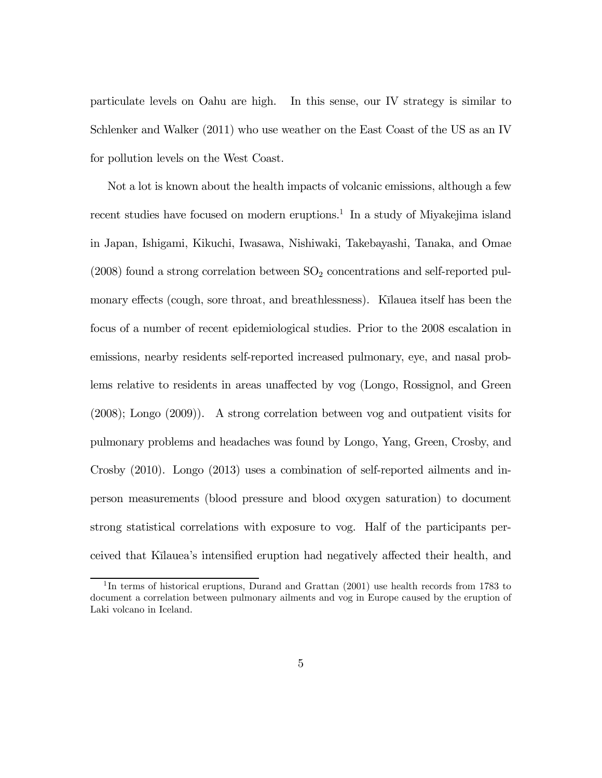particulate levels on Oahu are high. In this sense, our IV strategy is similar to Schlenker and Walker (2011) who use weather on the East Coast of the US as an IV for pollution levels on the West Coast.

Not a lot is known about the health impacts of volcanic emissions, although a few recent studies have focused on modern eruptions.<sup>1</sup> In a study of Miyakejima island in Japan, Ishigami, Kikuchi, Iwasawa, Nishiwaki, Takebayashi, Tanaka, and Omae  $(2008)$  found a strong correlation between  $SO<sub>2</sub>$  concentrations and self-reported pulmonary effects (cough, sore throat, and breathlessness). Kilauea itself has been the focus of a number of recent epidemiological studies. Prior to the 2008 escalation in emissions, nearby residents self-reported increased pulmonary, eye, and nasal problems relative to residents in areas unaffected by vog (Longo, Rossignol, and Green (2008); Longo (2009)). A strong correlation between vog and outpatient visits for pulmonary problems and headaches was found by Longo, Yang, Green, Crosby, and Crosby (2010). Longo (2013) uses a combination of self-reported ailments and inperson measurements (blood pressure and blood oxygen saturation) to document strong statistical correlations with exposure to vog. Half of the participants perceived that Kīlauea's intensified eruption had negatively affected their health, and

 $1$ In terms of historical eruptions, Durand and Grattan (2001) use health records from 1783 to document a correlation between pulmonary ailments and vog in Europe caused by the eruption of Laki volcano in Iceland.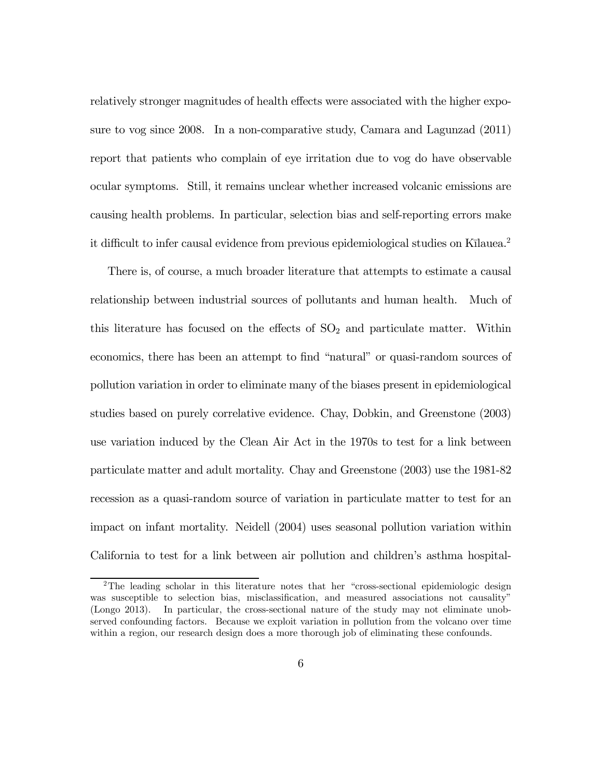relatively stronger magnitudes of health effects were associated with the higher exposure to vog since 2008. In a non-comparative study, Camara and Lagunzad (2011) report that patients who complain of eye irritation due to vog do have observable ocular symptoms. Still, it remains unclear whether increased volcanic emissions are causing health problems. In particular, selection bias and self-reporting errors make it difficult to infer causal evidence from previous epidemiological studies on Kīlauea.<sup>2</sup>

There is, of course, a much broader literature that attempts to estimate a causal relationship between industrial sources of pollutants and human health. Much of this literature has focused on the effects of  $SO<sub>2</sub>$  and particulate matter. Within economics, there has been an attempt to find "natural" or quasi-random sources of pollution variation in order to eliminate many of the biases present in epidemiological studies based on purely correlative evidence. Chay, Dobkin, and Greenstone (2003) use variation induced by the Clean Air Act in the 1970s to test for a link between particulate matter and adult mortality. Chay and Greenstone (2003) use the 1981-82 recession as a quasi-random source of variation in particulate matter to test for an impact on infant mortality. Neidell (2004) uses seasonal pollution variation within California to test for a link between air pollution and children's asthma hospital-

<sup>&</sup>lt;sup>2</sup>The leading scholar in this literature notes that her "cross-sectional epidemiologic design was susceptible to selection bias, misclassification, and measured associations not causality" (Longo 2013). In particular, the cross-sectional nature of the study may not eliminate unobserved confounding factors. Because we exploit variation in pollution from the volcano over time within a region, our research design does a more thorough job of eliminating these confounds.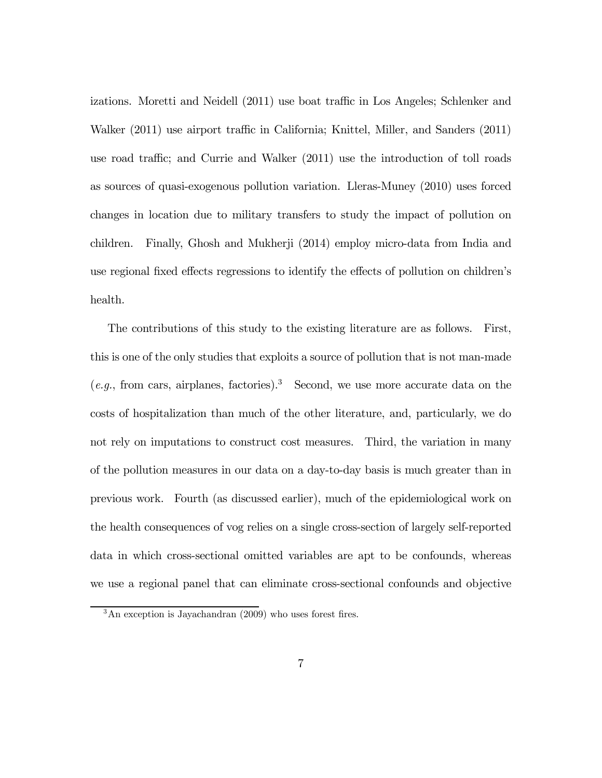izations. Moretti and Neidell (2011) use boat traffic in Los Angeles; Schlenker and Walker (2011) use airport traffic in California; Knittel, Miller, and Sanders (2011) use road traffic; and Currie and Walker (2011) use the introduction of toll roads as sources of quasi-exogenous pollution variation. Lleras-Muney (2010) uses forced changes in location due to military transfers to study the impact of pollution on children. Finally, Ghosh and Mukherji (2014) employ micro-data from India and use regional fixed effects regressions to identify the effects of pollution on children's health.

The contributions of this study to the existing literature are as follows. First, this is one of the only studies that exploits a source of pollution that is not man-made  $(e.g., from cars, airplanes, factories).$ <sup>3</sup> Second, we use more accurate data on the costs of hospitalization than much of the other literature, and, particularly, we do not rely on imputations to construct cost measures. Third, the variation in many of the pollution measures in our data on a day-to-day basis is much greater than in previous work. Fourth (as discussed earlier), much of the epidemiological work on the health consequences of vog relies on a single cross-section of largely self-reported data in which cross-sectional omitted variables are apt to be confounds, whereas we use a regional panel that can eliminate cross-sectional confounds and objective

 $3$ An exception is Jayachandran (2009) who uses forest fires.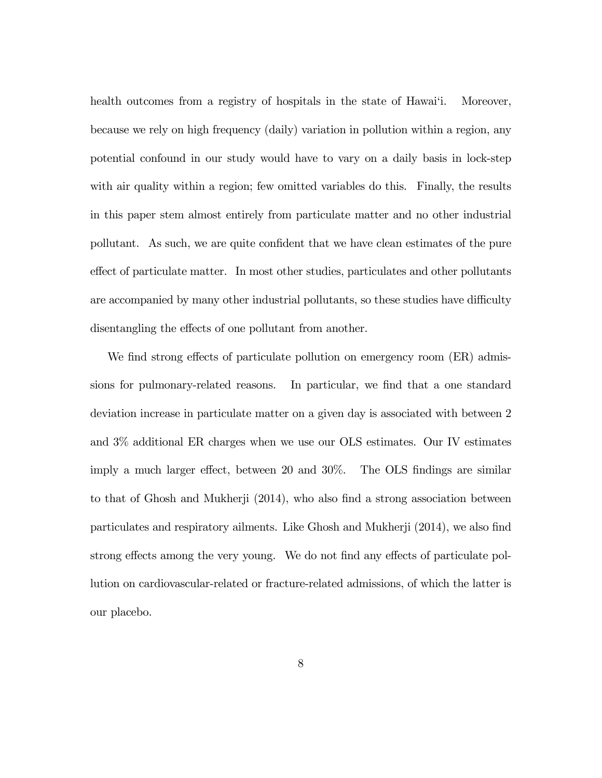health outcomes from a registry of hospitals in the state of Hawai'i. Moreover, because we rely on high frequency (daily) variation in pollution within a region, any potential confound in our study would have to vary on a daily basis in lock-step with air quality within a region; few omitted variables do this. Finally, the results in this paper stem almost entirely from particulate matter and no other industrial pollutant. As such, we are quite confident that we have clean estimates of the pure effect of particulate matter. In most other studies, particulates and other pollutants are accompanied by many other industrial pollutants, so these studies have difficulty disentangling the effects of one pollutant from another.

We find strong effects of particulate pollution on emergency room (ER) admissions for pulmonary-related reasons. In particular, we find that a one standard deviation increase in particulate matter on a given day is associated with between 2 and 3% additional ER charges when we use our OLS estimates. Our IV estimates imply a much larger effect, between 20 and 30%. The OLS findings are similar to that of Ghosh and Mukherji (2014), who also find a strong association between particulates and respiratory ailments. Like Ghosh and Mukherji (2014), we also find strong effects among the very young. We do not find any effects of particulate pollution on cardiovascular-related or fracture-related admissions, of which the latter is our placebo.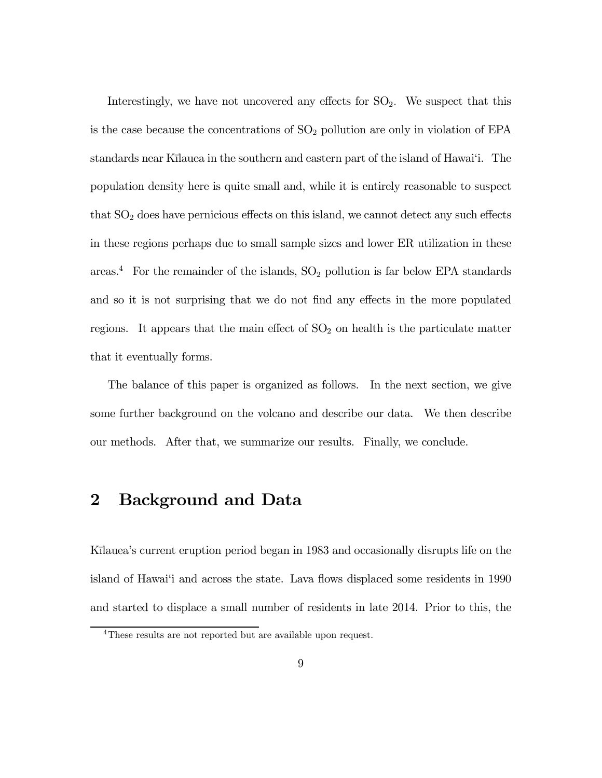Interestingly, we have not uncovered any effects for  $SO_2$ . We suspect that this is the case because the concentrations of  $SO<sub>2</sub>$  pollution are only in violation of EPA standards near Kīlauea in the southern and eastern part of the island of Hawai'i. The population density here is quite small and, while it is entirely reasonable to suspect that  $SO<sub>2</sub>$  does have pernicious effects on this island, we cannot detect any such effects in these regions perhaps due to small sample sizes and lower ER utilization in these areas.<sup>4</sup> For the remainder of the islands,  $SO_2$  pollution is far below EPA standards and so it is not surprising that we do not find any effects in the more populated regions. It appears that the main effect of  $SO<sub>2</sub>$  on health is the particulate matter that it eventually forms.

The balance of this paper is organized as follows. In the next section, we give some further background on the volcano and describe our data. We then describe our methods. After that, we summarize our results. Finally, we conclude.

### 2 Background and Data

Kīlauea's current eruption period began in 1983 and occasionally disrupts life on the island of Hawai'i and across the state. Lava flows displaced some residents in 1990 and started to displace a small number of residents in late 2014. Prior to this, the

<sup>4</sup>These results are not reported but are available upon request.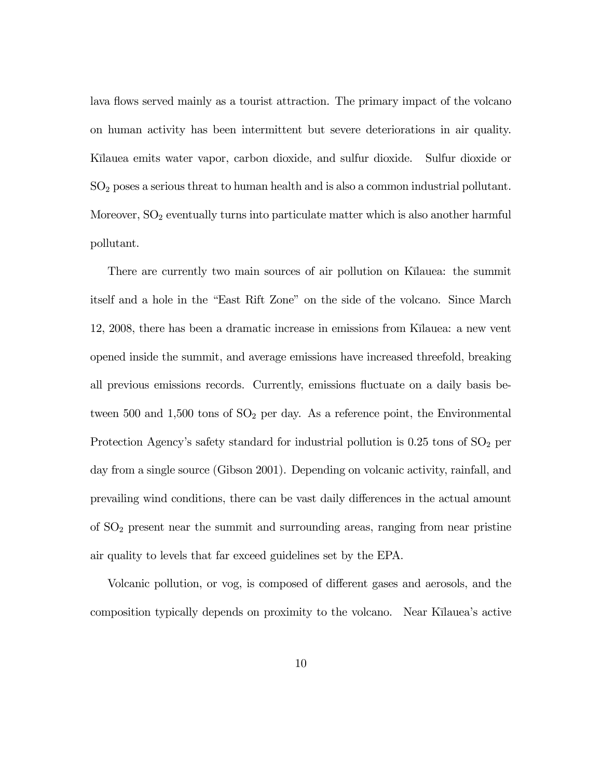lava flows served mainly as a tourist attraction. The primary impact of the volcano on human activity has been intermittent but severe deteriorations in air quality. Kīlauea emits water vapor, carbon dioxide, and sulfur dioxide. Sulfur dioxide or  $SO<sub>2</sub>$  poses a serious threat to human health and is also a common industrial pollutant. Moreover,  $SO<sub>2</sub>$  eventually turns into particulate matter which is also another harmful pollutant.

There are currently two main sources of air pollution on Kilauea: the summit itself and a hole in the "East Rift Zone" on the side of the volcano. Since March 12, 2008, there has been a dramatic increase in emissions from Kīlauea: a new vent opened inside the summit, and average emissions have increased threefold, breaking all previous emissions records. Currently, emissions fluctuate on a daily basis between 500 and 1,500 tons of  $SO<sub>2</sub>$  per day. As a reference point, the Environmental Protection Agency's safety standard for industrial pollution is  $0.25$  tons of  $SO<sub>2</sub>$  per day from a single source (Gibson 2001). Depending on volcanic activity, rainfall, and prevailing wind conditions, there can be vast daily differences in the actual amount of  $SO<sub>2</sub>$  present near the summit and surrounding areas, ranging from near pristine air quality to levels that far exceed guidelines set by the EPA.

Volcanic pollution, or vog, is composed of different gases and aerosols, and the composition typically depends on proximity to the volcano. Near Kīlauea's active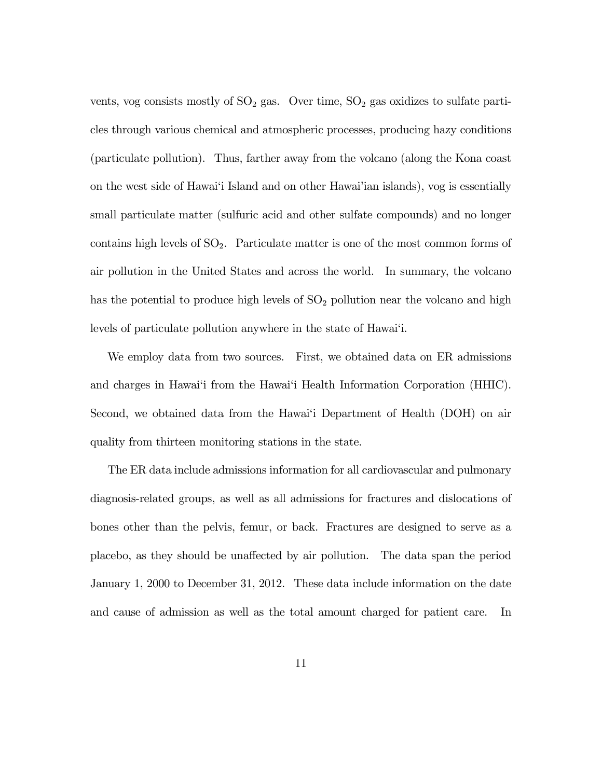vents, vog consists mostly of  $SO_2$  gas. Over time,  $SO_2$  gas oxidizes to sulfate particles through various chemical and atmospheric processes, producing hazy conditions (particulate pollution). Thus, farther away from the volcano (along the Kona coast on the west side of Hawai'i Island and on other Hawai'ian islands), vog is essentially small particulate matter (sulfuric acid and other sulfate compounds) and no longer contains high levels of  $SO_2$ . Particulate matter is one of the most common forms of air pollution in the United States and across the world. In summary, the volcano has the potential to produce high levels of  $SO<sub>2</sub>$  pollution near the volcano and high levels of particulate pollution anywhere in the state of Hawai'i.

We employ data from two sources. First, we obtained data on ER admissions and charges in Hawai'i from the Hawai'i Health Information Corporation (HHIC). Second, we obtained data from the Hawai'i Department of Health (DOH) on air quality from thirteen monitoring stations in the state.

The ER data include admissions information for all cardiovascular and pulmonary diagnosis-related groups, as well as all admissions for fractures and dislocations of bones other than the pelvis, femur, or back. Fractures are designed to serve as a placebo, as they should be unaffected by air pollution. The data span the period January 1, 2000 to December 31, 2012. These data include information on the date and cause of admission as well as the total amount charged for patient care. In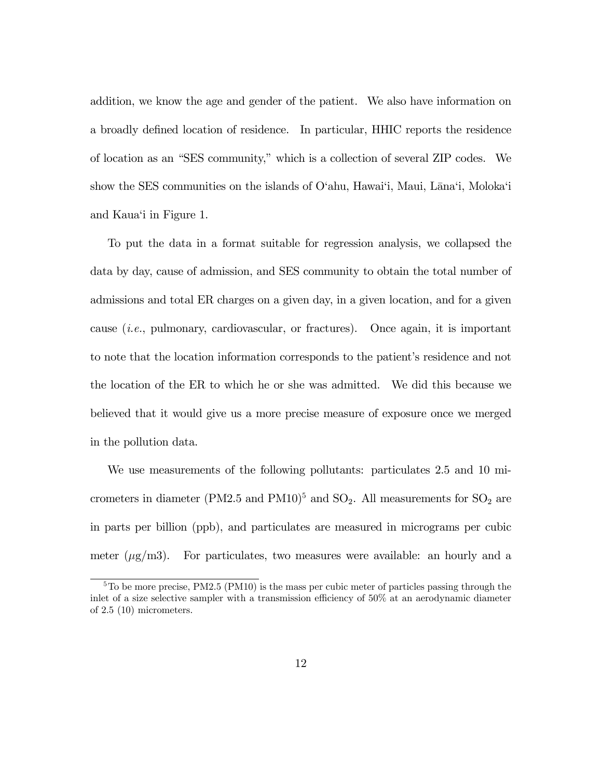addition, we know the age and gender of the patient. We also have information on a broadly defined location of residence. In particular, HHIC reports the residence of location as an "SES community," which is a collection of several ZIP codes. We show the SES communities on the islands of  $O^{\prime}$ ahu, Hawai'i, Maui, Lāna'i, Moloka'i and Kaua'i in Figure 1.

To put the data in a format suitable for regression analysis, we collapsed the data by day, cause of admission, and SES community to obtain the total number of admissions and total ER charges on a given day, in a given location, and for a given cause (i.e., pulmonary, cardiovascular, or fractures). Once again, it is important to note that the location information corresponds to the patient's residence and not the location of the ER to which he or she was admitted. We did this because we believed that it would give us a more precise measure of exposure once we merged in the pollution data.

We use measurements of the following pollutants: particulates 2.5 and 10 micrometers in diameter (PM2.5 and PM10)<sup>5</sup> and  $SO_2$ . All measurements for  $SO_2$  are in parts per billion (ppb), and particulates are measured in micrograms per cubic meter  $(\mu g/m3)$ . For particulates, two measures were available: an hourly and a

<sup>&</sup>lt;sup>5</sup>To be more precise, PM2.5 (PM10) is the mass per cubic meter of particles passing through the inlet of a size selective sampler with a transmission efficiency of 50% at an aerodynamic diameter of 2.5 (10) micrometers.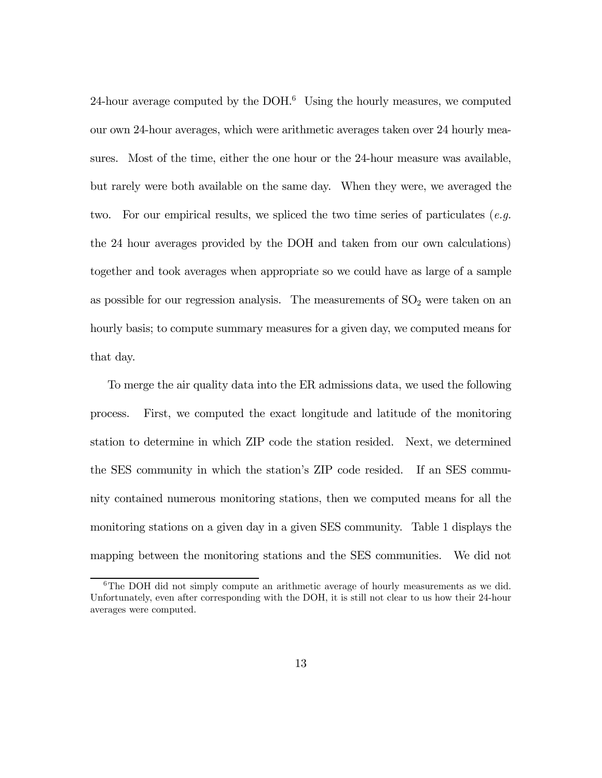24-hour average computed by the  $DOH<sup>6</sup>$  Using the hourly measures, we computed our own 24-hour averages, which were arithmetic averages taken over 24 hourly measures. Most of the time, either the one hour or the 24-hour measure was available, but rarely were both available on the same day. When they were, we averaged the two. For our empirical results, we spliced the two time series of particulates (*e.g.*) the 24 hour averages provided by the DOH and taken from our own calculations) together and took averages when appropriate so we could have as large of a sample as possible for our regression analysis. The measurements of  $SO<sub>2</sub>$  were taken on an hourly basis; to compute summary measures for a given day, we computed means for that day.

To merge the air quality data into the ER admissions data, we used the following process. First, we computed the exact longitude and latitude of the monitoring station to determine in which ZIP code the station resided. Next, we determined the SES community in which the station's ZIP code resided. If an SES community contained numerous monitoring stations, then we computed means for all the monitoring stations on a given day in a given SES community. Table 1 displays the mapping between the monitoring stations and the SES communities. We did not

 $6$ The DOH did not simply compute an arithmetic average of hourly measurements as we did. Unfortunately, even after corresponding with the DOH, it is still not clear to us how their 24-hour averages were computed.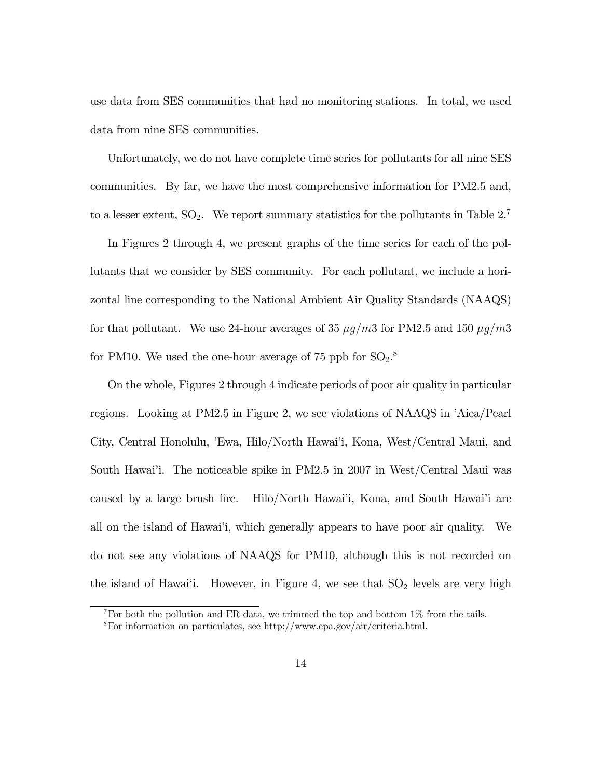use data from SES communities that had no monitoring stations. In total, we used data from nine SES communities.

Unfortunately, we do not have complete time series for pollutants for all nine SES communities. By far, we have the most comprehensive information for PM2.5 and, to a lesser extent,  $SO_2$ . We report summary statistics for the pollutants in Table  $2^7$ .

In Figures 2 through 4, we present graphs of the time series for each of the pollutants that we consider by SES community. For each pollutant, we include a horizontal line corresponding to the National Ambient Air Quality Standards (NAAQS) for that pollutant. We use 24-hour averages of 35  $\mu g/m3$  for PM2.5 and 150  $\mu g/m3$ for PM10. We used the one-hour average of 75 ppb for  $\text{SO}_2$ .<sup>8</sup>

On the whole, Figures 2 through 4 indicate periods of poor air quality in particular regions. Looking at PM2.5 in Figure 2, we see violations of NAAQS in 'Aiea/Pearl City, Central Honolulu, 'Ewa, Hilo/North Hawai'i, Kona, West/Central Maui, and South Hawai'i. The noticeable spike in PM2.5 in 2007 in West/Central Maui was caused by a large brush fire. Hilo/North Hawai'i, Kona, and South Hawai'i are all on the island of Hawai'i, which generally appears to have poor air quality. We do not see any violations of NAAQS for PM10, although this is not recorded on the island of Hawai'i. However, in Figure 4, we see that  $SO<sub>2</sub>$  levels are very high

<sup>&</sup>lt;sup>7</sup>For both the pollution and ER data, we trimmed the top and bottom  $1\%$  from the tails. 8For information on particulates, see http://www.epa.gov/air/criteria.html.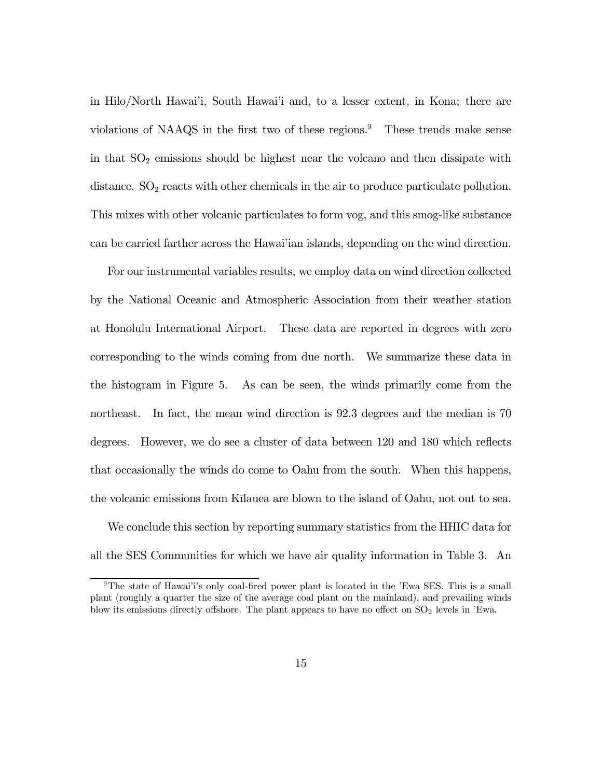in Hilo/North Hawai'i, South Hawai'i and, to a lesser extent, in Kona; there are violations of NAAQS in the first two of these regions.<sup>9</sup> These trends make sense in that  $SO<sub>2</sub>$  emissions should be highest near the volcano and then dissipate with distance.  $SO<sub>2</sub>$  reacts with other chemicals in the air to produce particulate pollution. This mixes with other volcanic particulates to form vog, and this smog-like substance can be carried farther across the Hawai'ian islands, depending on the wind direction.

For our instrumental variables results, we employ data on wind direction collected by the National Oceanic and Atmospheric Association from their weather station at Honolulu International Airport. These data are reported in degrees with zero corresponding to the winds coming from due north. We summarize these data in the histogram in Figure 5. As can be seen, the winds primarily come from the northeast. In fact, the mean wind direction is 92.3 degrees and the median is 70 degrees. However, we do see a cluster of data between 120 and 180 which reflects that occasionally the winds do come to Oahu from the south. When this happens, the volcanic emissions from Kūlauea are blown to the island of Oahu, not out to sea.

We conclude this section by reporting summary statistics from the HHIC data for all the SES Communities for which we have air quality information in Table 3. An

<sup>&</sup>lt;sup>9</sup>The state of Hawai'i's only coal-fired power plant is located in the 'Ewa SES. This is a small plant (roughly a quarter the size of the average coal plant on the mainland), and prevailing winds blow its emissions directly offshore. The plant appears to have no effect on  $SO<sub>2</sub>$  levels in 'Ewa.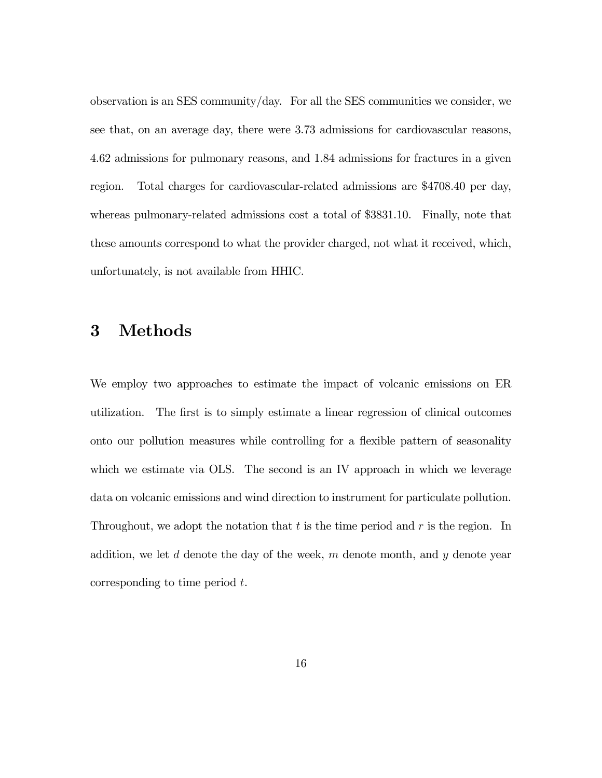observation is an SES community/day. For all the SES communities we consider, we see that, on an average day, there were 3.73 admissions for cardiovascular reasons, 4.62 admissions for pulmonary reasons, and 1.84 admissions for fractures in a given region. Total charges for cardiovascular-related admissions are \$4708.40 per day, whereas pulmonary-related admissions cost a total of \$3831.10. Finally, note that these amounts correspond to what the provider charged, not what it received, which, unfortunately, is not available from HHIC.

### 3 Methods

We employ two approaches to estimate the impact of volcanic emissions on ER utilization. The first is to simply estimate a linear regression of clinical outcomes onto our pollution measures while controlling for a flexible pattern of seasonality which we estimate via OLS. The second is an IV approach in which we leverage data on volcanic emissions and wind direction to instrument for particulate pollution. Throughout, we adopt the notation that  $t$  is the time period and  $r$  is the region. In addition, we let  $d$  denote the day of the week,  $m$  denote month, and  $y$  denote year corresponding to time period  $t$ .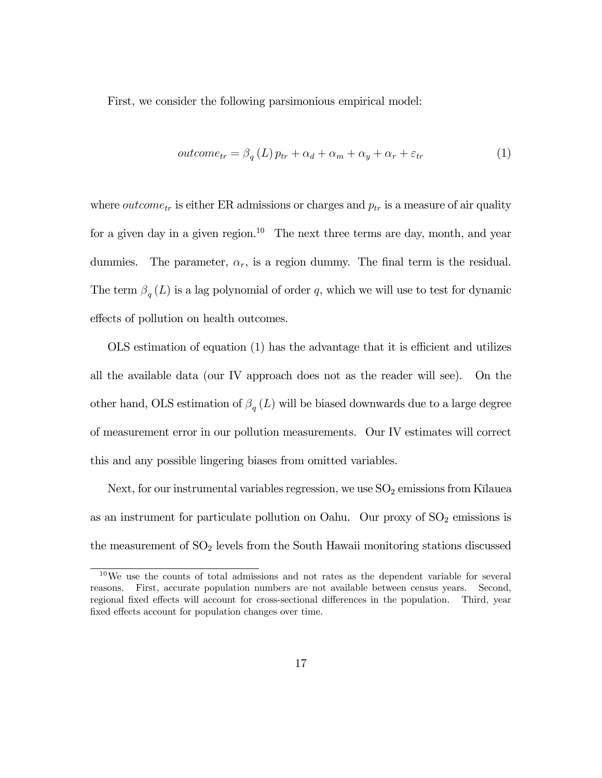First, we consider the following parsimonious empirical model:

$$
outcome_{tr} = \beta_q(L) p_{tr} + \alpha_d + \alpha_m + \alpha_y + \alpha_r + \varepsilon_{tr}
$$
\n(1)

where *outcome*<sub>tr</sub> is either ER admissions or charges and  $p_{tr}$  is a measure of air quality for a given day in a given region.<sup>10</sup> The next three terms are day, month, and year dummies. The parameter,  $\alpha_r$ , is a region dummy. The final term is the residual. The term  $\beta_q(L)$  is a lag polynomial of order q, which we will use to test for dynamic effects of pollution on health outcomes.

OLS estimation of equation (1) has the advantage that it is efficient and utilizes all the available data (our IV approach does not as the reader will see). On the other hand, OLS estimation of  $\beta_q(L)$  will be biased downwards due to a large degree of measurement error in our pollution measurements. Our IV estimates will correct this and any possible lingering biases from omitted variables.

Next, for our instrumental variables regression, we use  $SO<sub>2</sub>$  emissions from Kīlauea as an instrument for particulate pollution on Oahu. Our proxy of  $SO<sub>2</sub>$  emissions is the measurement of  $SO<sub>2</sub>$  levels from the South Hawaii monitoring stations discussed

<sup>10</sup>We use the counts of total admissions and not rates as the dependent variable for several reasons. First, accurate population numbers are not available between census years. Second, regional fixed effects will account for cross-sectional differences in the population. Third, year fixed effects account for population changes over time.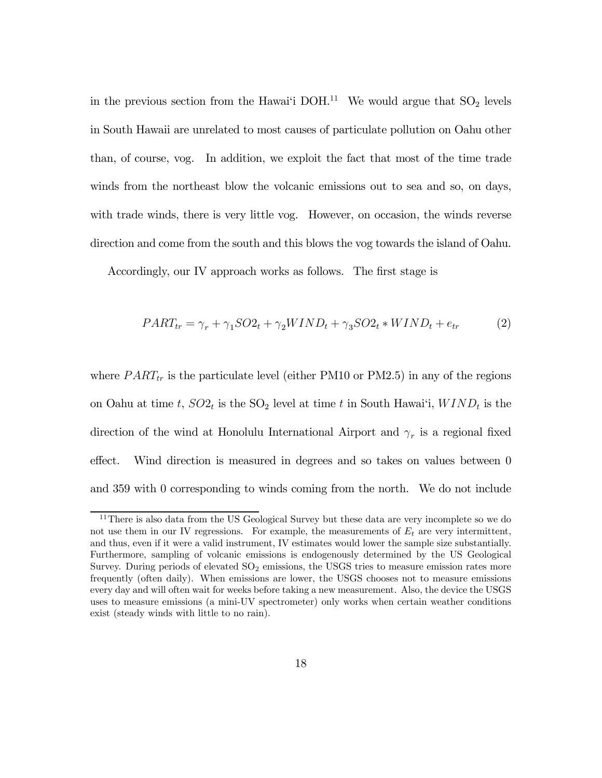in the previous section from the Hawai'i DOH.<sup>11</sup> We would argue that  $SO_2$  levels in South Hawaii are unrelated to most causes of particulate pollution on Oahu other than, of course, vog. In addition, we exploit the fact that most of the time trade winds from the northeast blow the volcanic emissions out to sea and so, on days, with trade winds, there is very little vog. However, on occasion, the winds reverse direction and come from the south and this blows the vog towards the island of Oahu.

Accordingly, our IV approach works as follows. The first stage is

$$
PART_{tr} = \gamma_r + \gamma_1 SO2_t + \gamma_2 WIND_t + \gamma_3 SO2_t * WIND_t + e_{tr}
$$
 (2)

where  $PART_{tr}$  is the particulate level (either PM10 or PM2.5) in any of the regions on Oahu at time t,  $SO_2$  is the  $SO_2$  level at time t in South Hawai'i,  $WIND_t$  is the direction of the wind at Honolulu International Airport and  $\gamma_r$  is a regional fixed effect. Wind direction is measured in degrees and so takes on values between 0 and 359 with 0 corresponding to winds coming from the north. We do not include

<sup>&</sup>lt;sup>11</sup>There is also data from the US Geological Survey but these data are very incomplete so we do not use them in our IV regressions. For example, the measurements of  $E_t$  are very intermittent, and thus, even if it were a valid instrument, IV estimates would lower the sample size substantially. Furthermore, sampling of volcanic emissions is endogenously determined by the US Geological Survey. During periods of elevated  $SO<sub>2</sub>$  emissions, the USGS tries to measure emission rates more frequently (often daily). When emissions are lower, the USGS chooses not to measure emissions every day and will often wait for weeks before taking a new measurement. Also, the device the USGS uses to measure emissions (a mini-UV spectrometer) only works when certain weather conditions exist (steady winds with little to no rain).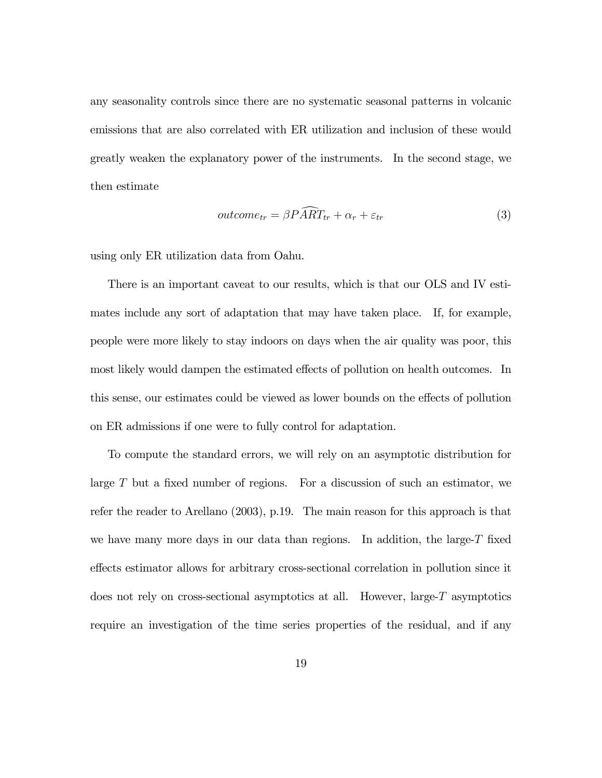any seasonality controls since there are no systematic seasonal patterns in volcanic emissions that are also correlated with ER utilization and inclusion of these would greatly weaken the explanatory power of the instruments. In the second stage, we then estimate

$$
outcome_{tr} = \beta P \widehat{A} \widehat{RT}_{tr} + \alpha_r + \varepsilon_{tr}
$$
\n(3)

using only ER utilization data from Oahu.

There is an important caveat to our results, which is that our OLS and IV estimates include any sort of adaptation that may have taken place. If, for example, people were more likely to stay indoors on days when the air quality was poor, this most likely would dampen the estimated effects of pollution on health outcomes. In this sense, our estimates could be viewed as lower bounds on the effects of pollution on ER admissions if one were to fully control for adaptation.

To compute the standard errors, we will rely on an asymptotic distribution for large  $T$  but a fixed number of regions. For a discussion of such an estimator, we refer the reader to Arellano (2003), p.19. The main reason for this approach is that we have many more days in our data than regions. In addition, the large- $T$  fixed effects estimator allows for arbitrary cross-sectional correlation in pollution since it does not rely on cross-sectional asymptotics at all. However, large- $T$  asymptotics require an investigation of the time series properties of the residual, and if any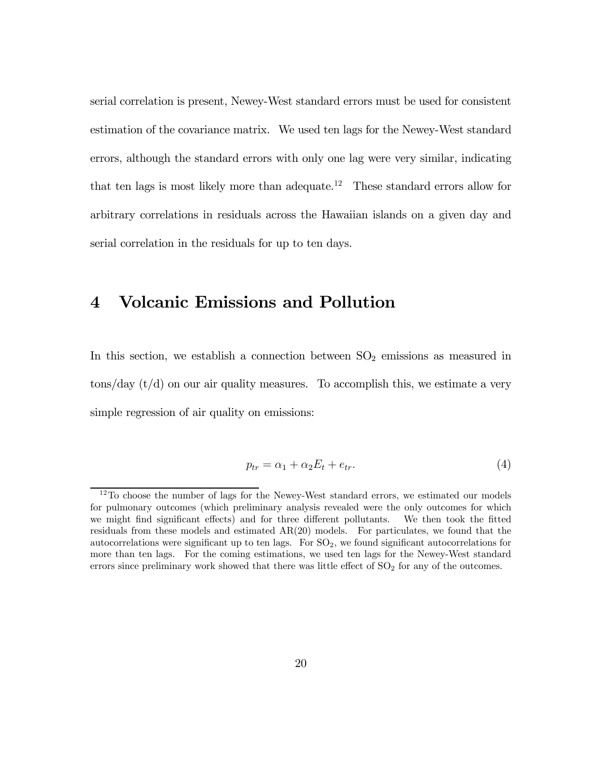serial correlation is present, Newey-West standard errors must be used for consistent estimation of the covariance matrix. We used ten lags for the Newey-West standard errors, although the standard errors with only one lag were very similar, indicating that ten lags is most likely more than adequate.<sup>12</sup> These standard errors allow for arbitrary correlations in residuals across the Hawaiian islands on a given day and serial correlation in the residuals for up to ten days.

### 4 Volcanic Emissions and Pollution

In this section, we establish a connection between  $SO_2$  emissions as measured in  $\frac{1}{\cos(\frac{1}{\cos(\frac{1}{\cos(\frac{1}{\cos(\frac{1}{\cos(\frac{1}{\cos(\frac{1}{\cos(\frac{1}{\cos(1)}\cos(\frac{1}{\cos(1)}\cos(1)}{\cos(1)}\cos(1))))}}{1-\cos(\frac{1}{\cos(\frac{1}{\cos(\frac{1}{\cos(\frac{1}{\cos(\frac{1}{\cos(1)}\cos(1)}{\cos(1)}\cos(1))))}}{1-\cos(\frac{1}{\cos(\frac{1}{\cos(\frac{1}{\cos(1)}\cos(1))))}}{1-\cos(\frac{1}{\cos(\frac{1}{\cos(\frac{1}{\cos(1)}\cos(1))))}}{1-\cos(\frac{$ simple regression of air quality on emissions:

$$
p_{tr} = \alpha_1 + \alpha_2 E_t + e_{tr}.\tag{4}
$$

<sup>&</sup>lt;sup>12</sup>To choose the number of lags for the Newey-West standard errors, we estimated our models for pulmonary outcomes (which preliminary analysis revealed were the only outcomes for which we might find significant effects) and for three different pollutants. We then took the fitted residuals from these models and estimated AR(20) models. For particulates, we found that the autocorrelations were significant up to ten lags. For  $SO<sub>2</sub>$ , we found significant autocorrelations for more than ten lags. For the coming estimations, we used ten lags for the Newey-West standard errors since preliminary work showed that there was little effect of  $SO<sub>2</sub>$  for any of the outcomes.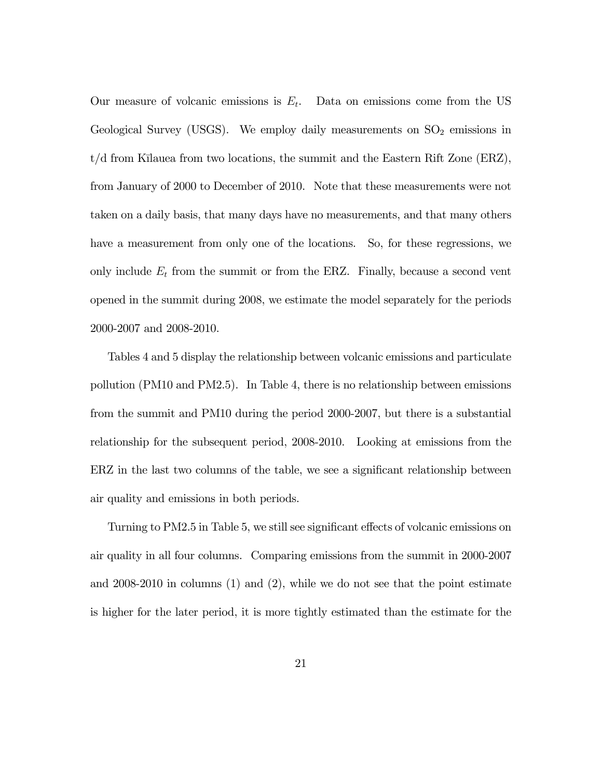Our measure of volcanic emissions is  $E_t$ . Data on emissions come from the US Geological Survey (USGS). We employ daily measurements on  $SO_2$  emissions in  $t/d$  from Kīlauea from two locations, the summit and the Eastern Rift Zone (ERZ), from January of 2000 to December of 2010. Note that these measurements were not taken on a daily basis, that many days have no measurements, and that many others have a measurement from only one of the locations. So, for these regressions, we only include  $E_t$  from the summit or from the ERZ. Finally, because a second vent opened in the summit during 2008, we estimate the model separately for the periods 2000-2007 and 2008-2010.

Tables 4 and 5 display the relationship between volcanic emissions and particulate pollution (PM10 and PM2.5). In Table 4, there is no relationship between emissions from the summit and PM10 during the period 2000-2007, but there is a substantial relationship for the subsequent period, 2008-2010. Looking at emissions from the ERZ in the last two columns of the table, we see a significant relationship between air quality and emissions in both periods.

Turning to PM2.5 in Table 5, we still see significant effects of volcanic emissions on air quality in all four columns. Comparing emissions from the summit in 2000-2007 and  $2008-2010$  in columns  $(1)$  and  $(2)$ , while we do not see that the point estimate is higher for the later period, it is more tightly estimated than the estimate for the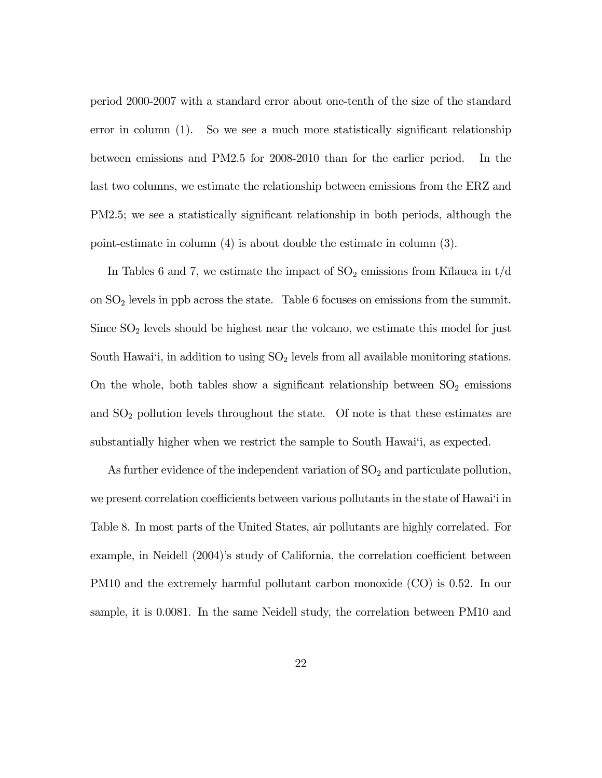period 2000-2007 with a standard error about one-tenth of the size of the standard error in column (1). So we see a much more statistically significant relationship between emissions and PM2.5 for 2008-2010 than for the earlier period. In the last two columns, we estimate the relationship between emissions from the ERZ and PM2.5; we see a statistically significant relationship in both periods, although the point-estimate in column (4) is about double the estimate in column (3).

In Tables 6 and 7, we estimate the impact of  $SO_2$  emissions from K $\bar{u}$ lauea in t/d on SO<sup>2</sup> levels in ppb across the state. Table 6 focuses on emissions from the summit. Since  $SO<sub>2</sub>$  levels should be highest near the volcano, we estimate this model for just South Hawai'i, in addition to using  $SO<sub>2</sub>$  levels from all available monitoring stations. On the whole, both tables show a significant relationship between  $SO_2$  emissions and  $SO<sub>2</sub>$  pollution levels throughout the state. Of note is that these estimates are substantially higher when we restrict the sample to South Hawai'i, as expected.

As further evidence of the independent variation of  $SO<sub>2</sub>$  and particulate pollution, we present correlation coefficients between various pollutants in the state of Hawai'i in Table 8. In most parts of the United States, air pollutants are highly correlated. For example, in Neidell (2004)'s study of California, the correlation coefficient between PM10 and the extremely harmful pollutant carbon monoxide (CO) is 0.52. In our sample, it is 0.0081. In the same Neidell study, the correlation between PM10 and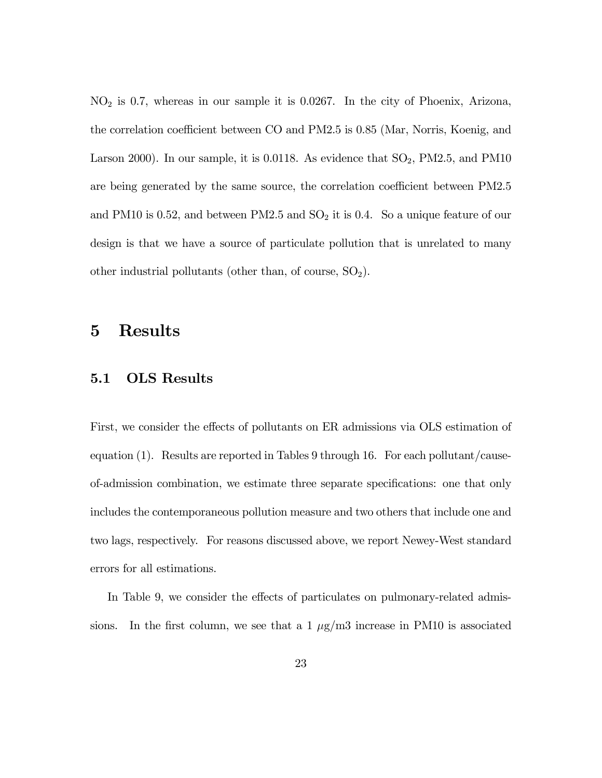$NO<sub>2</sub>$  is 0.7, whereas in our sample it is 0.0267. In the city of Phoenix, Arizona, the correlation coefficient between CO and PM2.5 is 0.85 (Mar, Norris, Koenig, and Larson 2000). In our sample, it is 0.0118. As evidence that  $SO_2$ , PM2.5, and PM10 are being generated by the same source, the correlation coefficient between PM2.5 and PM10 is 0.52, and between PM2.5 and  $SO<sub>2</sub>$  it is 0.4. So a unique feature of our design is that we have a source of particulate pollution that is unrelated to many other industrial pollutants (other than, of course,  $SO_2$ ).

### 5 Results

#### 5.1 OLS Results

First, we consider the effects of pollutants on ER admissions via OLS estimation of equation (1). Results are reported in Tables 9 through 16. For each pollutant/causeof-admission combination, we estimate three separate specifications: one that only includes the contemporaneous pollution measure and two others that include one and two lags, respectively. For reasons discussed above, we report Newey-West standard errors for all estimations.

In Table 9, we consider the effects of particulates on pulmonary-related admissions. In the first column, we see that a  $1 \mu g/m3$  increase in PM10 is associated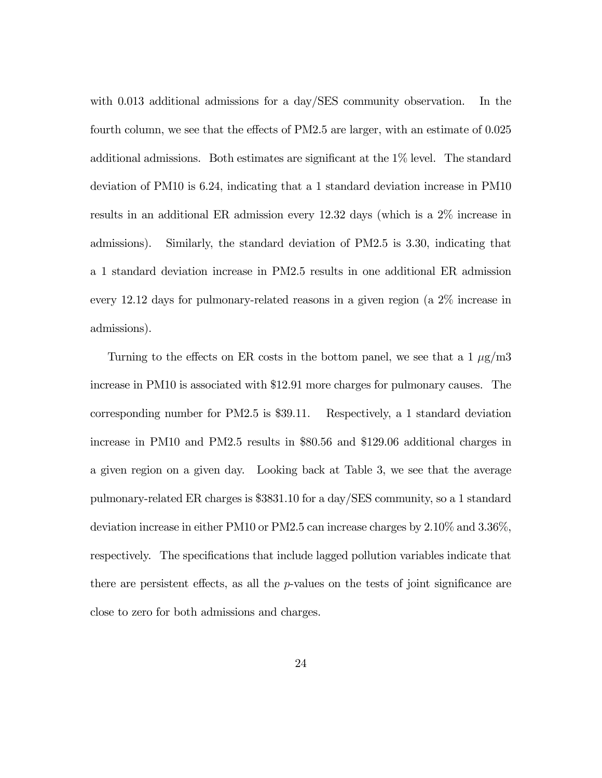with 0.013 additional admissions for a day/SES community observation. In the fourth column, we see that the effects of PM2.5 are larger, with an estimate of 0.025 additional admissions. Both estimates are significant at the 1% level. The standard deviation of PM10 is 6.24, indicating that a 1 standard deviation increase in PM10 results in an additional ER admission every 12.32 days (which is a 2% increase in admissions). Similarly, the standard deviation of PM2.5 is 3.30, indicating that a 1 standard deviation increase in PM2.5 results in one additional ER admission every 12.12 days for pulmonary-related reasons in a given region (a 2% increase in admissions).

Turning to the effects on ER costs in the bottom panel, we see that a  $1 \mu g/m3$ increase in PM10 is associated with \$12.91 more charges for pulmonary causes. The corresponding number for PM2.5 is \$39.11. Respectively, a 1 standard deviation increase in PM10 and PM2.5 results in \$80.56 and \$129.06 additional charges in a given region on a given day. Looking back at Table 3, we see that the average pulmonary-related ER charges is \$3831.10 for a day/SES community, so a 1 standard deviation increase in either PM10 or PM2.5 can increase charges by 2.10% and 3.36%, respectively. The specifications that include lagged pollution variables indicate that there are persistent effects, as all the  $p$ -values on the tests of joint significance are close to zero for both admissions and charges.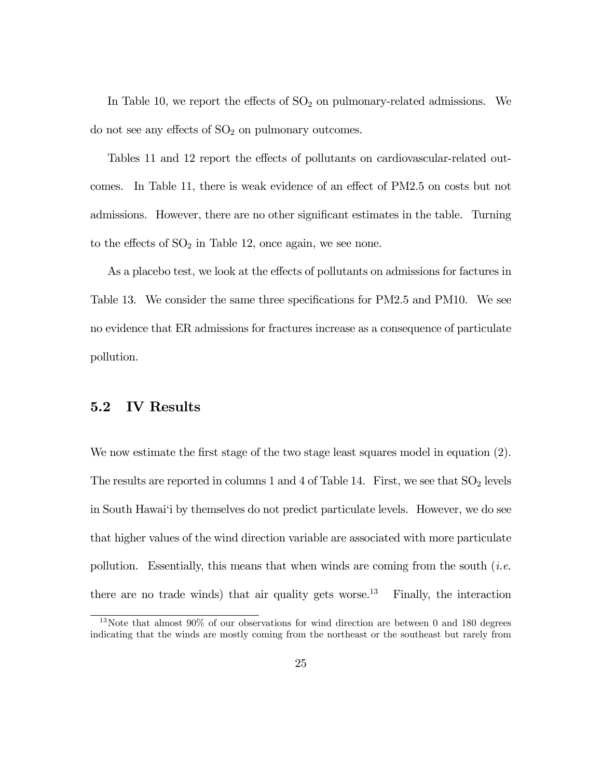In Table 10, we report the effects of  $SO<sub>2</sub>$  on pulmonary-related admissions. We do not see any effects of  $SO<sub>2</sub>$  on pulmonary outcomes.

Tables 11 and 12 report the effects of pollutants on cardiovascular-related outcomes. In Table 11, there is weak evidence of an effect of PM2.5 on costs but not admissions. However, there are no other significant estimates in the table. Turning to the effects of  $SO<sub>2</sub>$  in Table 12, once again, we see none.

As a placebo test, we look at the effects of pollutants on admissions for factures in Table 13. We consider the same three specifications for PM2.5 and PM10. We see no evidence that ER admissions for fractures increase as a consequence of particulate pollution.

#### 5.2 IV Results

We now estimate the first stage of the two stage least squares model in equation  $(2)$ . The results are reported in columns 1 and 4 of Table 14. First, we see that  $SO_2$  levels in South Hawai'i by themselves do not predict particulate levels. However, we do see that higher values of the wind direction variable are associated with more particulate pollution. Essentially, this means that when winds are coming from the south  $(i.e.$ there are no trade winds) that air quality gets worse.<sup>13</sup> Finally, the interaction

<sup>13</sup>Note that almost 90% of our observations for wind direction are between 0 and 180 degrees indicating that the winds are mostly coming from the northeast or the southeast but rarely from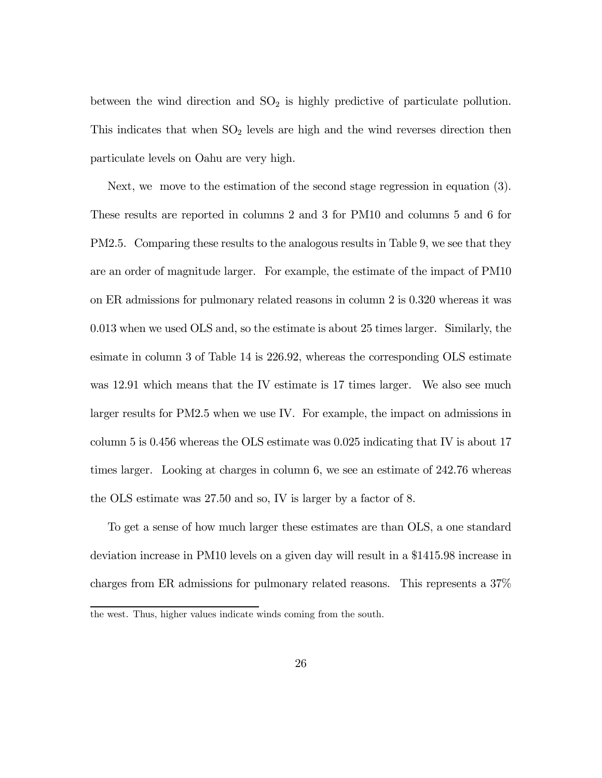between the wind direction and  $SO_2$  is highly predictive of particulate pollution. This indicates that when  $SO_2$  levels are high and the wind reverses direction then particulate levels on Oahu are very high.

Next, we move to the estimation of the second stage regression in equation (3). These results are reported in columns 2 and 3 for PM10 and columns 5 and 6 for PM2.5. Comparing these results to the analogous results in Table 9, we see that they are an order of magnitude larger. For example, the estimate of the impact of PM10 on ER admissions for pulmonary related reasons in column 2 is 0.320 whereas it was 0.013 when we used OLS and, so the estimate is about 25 times larger. Similarly, the esimate in column 3 of Table 14 is 226.92, whereas the corresponding OLS estimate was 12.91 which means that the IV estimate is 17 times larger. We also see much larger results for PM2.5 when we use IV. For example, the impact on admissions in column 5 is 0.456 whereas the OLS estimate was 0.025 indicating that IV is about 17 times larger. Looking at charges in column 6, we see an estimate of 242.76 whereas the OLS estimate was 27.50 and so, IV is larger by a factor of 8.

To get a sense of how much larger these estimates are than OLS, a one standard deviation increase in PM10 levels on a given day will result in a \$1415.98 increase in charges from ER admissions for pulmonary related reasons. This represents a 37%

the west. Thus, higher values indicate winds coming from the south.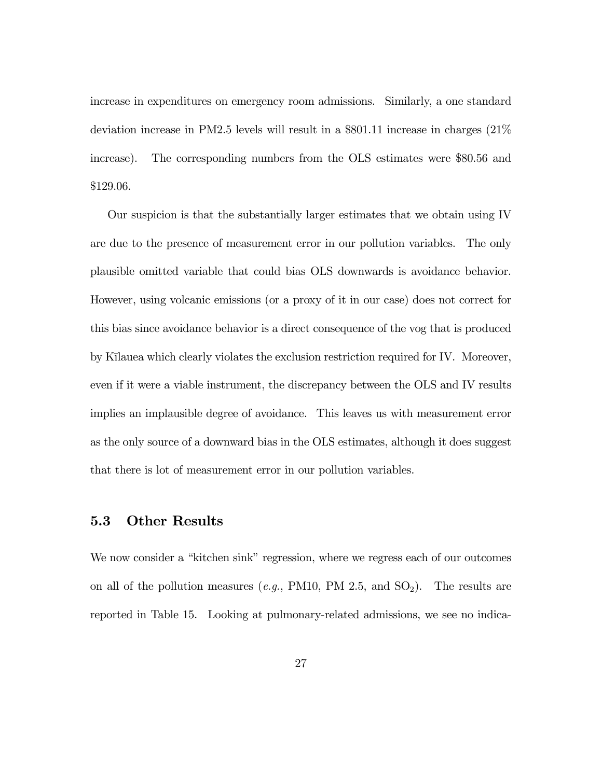increase in expenditures on emergency room admissions. Similarly, a one standard deviation increase in PM2.5 levels will result in a \$801.11 increase in charges (21% increase). The corresponding numbers from the OLS estimates were \$80.56 and \$129.06.

Our suspicion is that the substantially larger estimates that we obtain using IV are due to the presence of measurement error in our pollution variables. The only plausible omitted variable that could bias OLS downwards is avoidance behavior. However, using volcanic emissions (or a proxy of it in our case) does not correct for this bias since avoidance behavior is a direct consequence of the vog that is produced by Kīlauea which clearly violates the exclusion restriction required for IV. Moreover, even if it were a viable instrument, the discrepancy between the OLS and IV results implies an implausible degree of avoidance. This leaves us with measurement error as the only source of a downward bias in the OLS estimates, although it does suggest that there is lot of measurement error in our pollution variables.

#### 5.3 Other Results

We now consider a "kitchen sink" regression, where we regress each of our outcomes on all of the pollution measures (e.g., PM10, PM 2.5, and  $SO_2$ ). The results are reported in Table 15. Looking at pulmonary-related admissions, we see no indica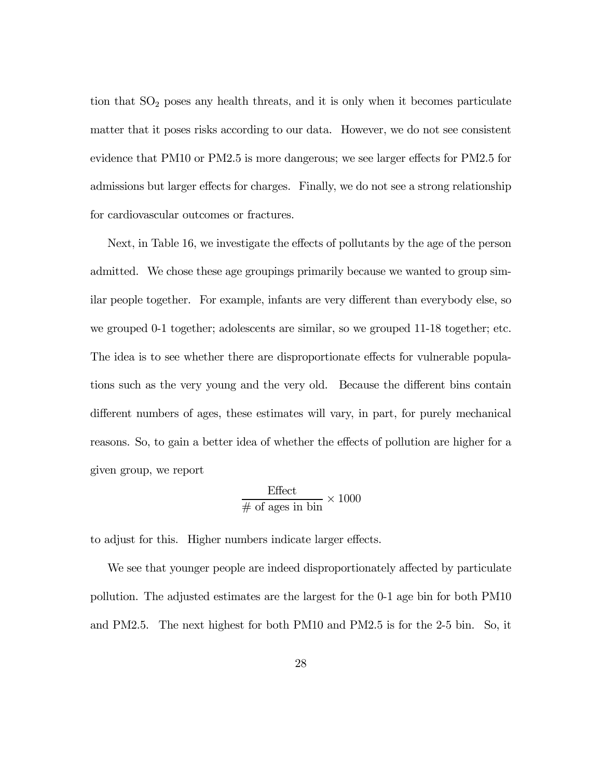tion that  $SO<sub>2</sub>$  poses any health threats, and it is only when it becomes particulate matter that it poses risks according to our data. However, we do not see consistent evidence that PM10 or PM2.5 is more dangerous; we see larger effects for PM2.5 for admissions but larger effects for charges. Finally, we do not see a strong relationship for cardiovascular outcomes or fractures.

Next, in Table 16, we investigate the effects of pollutants by the age of the person admitted. We chose these age groupings primarily because we wanted to group similar people together. For example, infants are very different than everybody else, so we grouped 0-1 together; adolescents are similar, so we grouped 11-18 together; etc. The idea is to see whether there are disproportionate effects for vulnerable populations such as the very young and the very old. Because the different bins contain different numbers of ages, these estimates will vary, in part, for purely mechanical reasons. So, to gain a better idea of whether the effects of pollution are higher for a given group, we report

$$
\frac{\text{Effect}}{\text{\# of ages in bin}} \times 1000
$$

to adjust for this. Higher numbers indicate larger effects.

We see that younger people are indeed disproportionately affected by particulate pollution. The adjusted estimates are the largest for the 0-1 age bin for both PM10 and PM2.5. The next highest for both PM10 and PM2.5 is for the 2-5 bin. So, it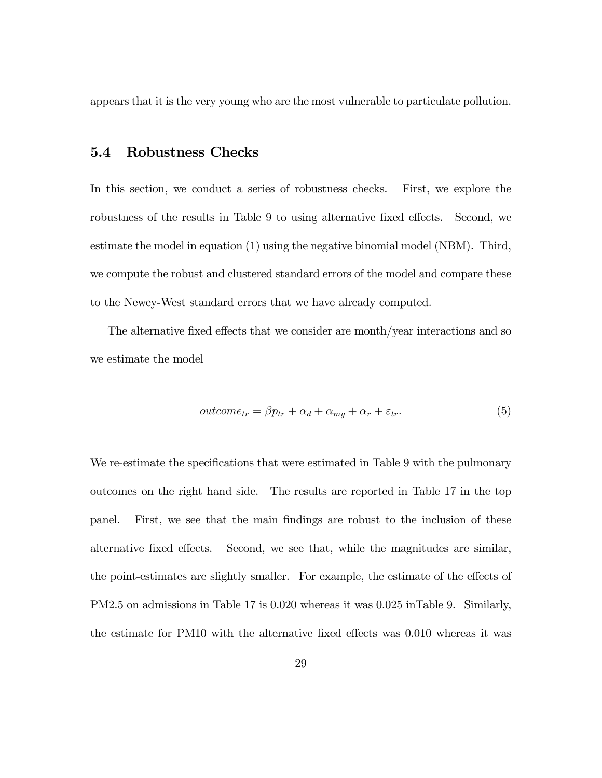appears that it is the very young who are the most vulnerable to particulate pollution.

#### 5.4 Robustness Checks

In this section, we conduct a series of robustness checks. First, we explore the robustness of the results in Table 9 to using alternative fixed effects. Second, we estimate the model in equation (1) using the negative binomial model (NBM). Third, we compute the robust and clustered standard errors of the model and compare these to the Newey-West standard errors that we have already computed.

The alternative fixed effects that we consider are month/year interactions and so we estimate the model

$$
outcome_{tr} = \beta p_{tr} + \alpha_d + \alpha_{my} + \alpha_r + \varepsilon_{tr}.
$$
\n
$$
(5)
$$

We re-estimate the specifications that were estimated in Table 9 with the pulmonary outcomes on the right hand side. The results are reported in Table 17 in the top panel. First, we see that the main findings are robust to the inclusion of these alternative fixed effects. Second, we see that, while the magnitudes are similar, the point-estimates are slightly smaller. For example, the estimate of the effects of PM2.5 on admissions in Table 17 is 0.020 whereas it was 0.025 inTable 9. Similarly, the estimate for PM10 with the alternative fixed effects was 0.010 whereas it was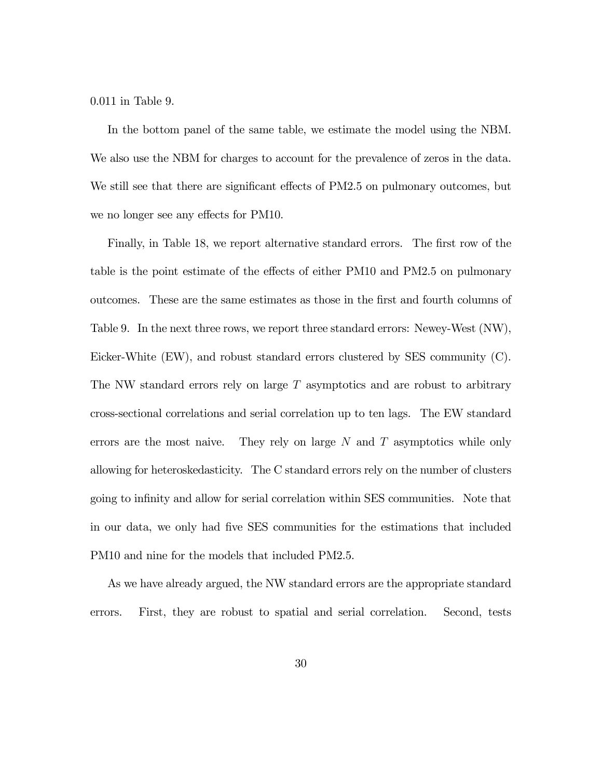0.011 in Table 9.

In the bottom panel of the same table, we estimate the model using the NBM. We also use the NBM for charges to account for the prevalence of zeros in the data. We still see that there are significant effects of PM2.5 on pulmonary outcomes, but we no longer see any effects for PM10.

Finally, in Table 18, we report alternative standard errors. The first row of the table is the point estimate of the effects of either PM10 and PM2.5 on pulmonary outcomes. These are the same estimates as those in the first and fourth columns of Table 9. In the next three rows, we report three standard errors: Newey-West (NW), Eicker-White (EW), and robust standard errors clustered by SES community (C). The NW standard errors rely on large  $T$  asymptotics and are robust to arbitrary cross-sectional correlations and serial correlation up to ten lags. The EW standard errors are the most naive. They rely on large  $N$  and  $T$  asymptotics while only allowing for heteroskedasticity. The C standard errors rely on the number of clusters going to infinity and allow for serial correlation within SES communities. Note that in our data, we only had five SES communities for the estimations that included PM10 and nine for the models that included PM2.5.

As we have already argued, the NW standard errors are the appropriate standard errors. First, they are robust to spatial and serial correlation. Second, tests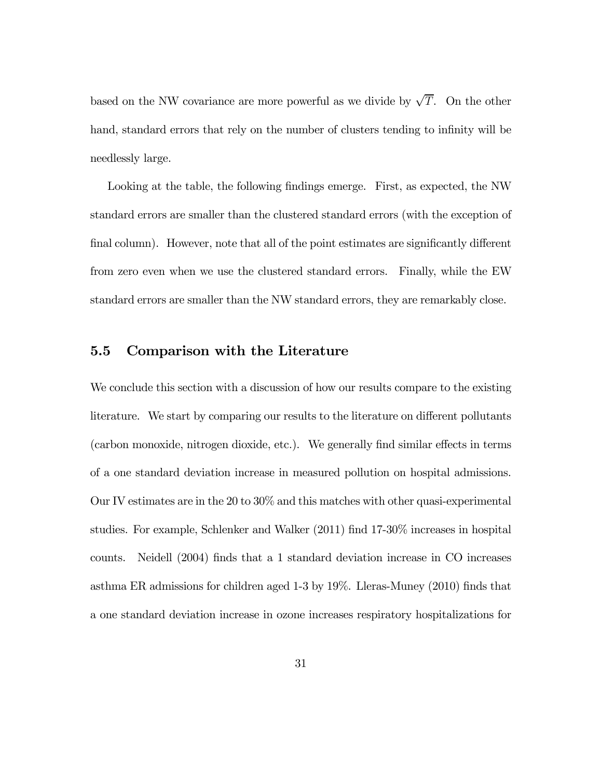based on the NW covariance are more powerful as we divide by  $\sqrt{T}$ . On the other hand, standard errors that rely on the number of clusters tending to infinity will be needlessly large.

Looking at the table, the following findings emerge. First, as expected, the NW standard errors are smaller than the clustered standard errors (with the exception of final column). However, note that all of the point estimates are significantly different from zero even when we use the clustered standard errors. Finally, while the EW standard errors are smaller than the NW standard errors, they are remarkably close.

#### 5.5 Comparison with the Literature

We conclude this section with a discussion of how our results compare to the existing literature. We start by comparing our results to the literature on different pollutants (carbon monoxide, nitrogen dioxide, etc.). We generally find similar effects in terms of a one standard deviation increase in measured pollution on hospital admissions. Our IV estimates are in the 20 to 30% and this matches with other quasi-experimental studies. For example, Schlenker and Walker (2011) find 17-30% increases in hospital counts. Neidell (2004) finds that a 1 standard deviation increase in CO increases asthma ER admissions for children aged 1-3 by 19%. Lleras-Muney (2010) finds that a one standard deviation increase in ozone increases respiratory hospitalizations for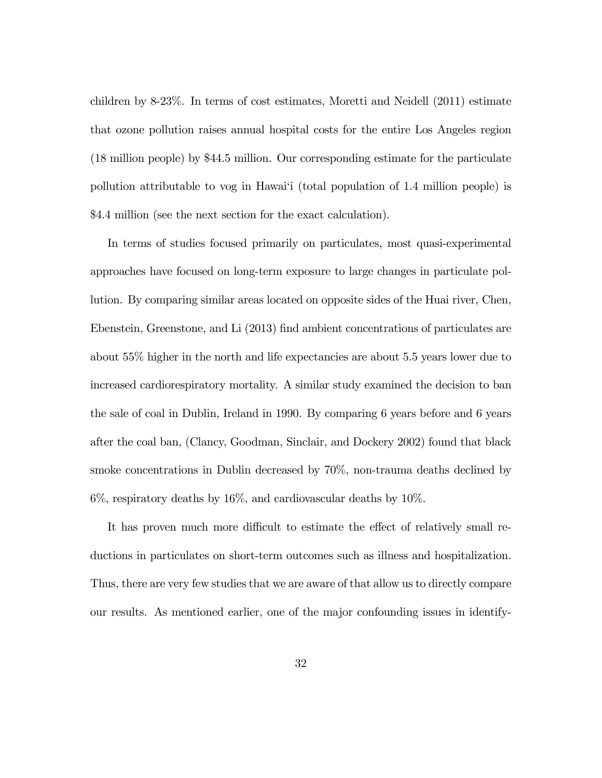children by 8-23%. In terms of cost estimates, Moretti and Neidell (2011) estimate that ozone pollution raises annual hospital costs for the entire Los Angeles region (18 million people) by \$44.5 million. Our corresponding estimate for the particulate pollution attributable to vog in Hawai'i (total population of 1.4 million people) is \$4.4 million (see the next section for the exact calculation).

In terms of studies focused primarily on particulates, most quasi-experimental approaches have focused on long-term exposure to large changes in particulate pollution. By comparing similar areas located on opposite sides of the Huai river, Chen, Ebenstein, Greenstone, and Li (2013) find ambient concentrations of particulates are about 55% higher in the north and life expectancies are about 5.5 years lower due to increased cardiorespiratory mortality. A similar study examined the decision to ban the sale of coal in Dublin, Ireland in 1990. By comparing 6 years before and 6 years after the coal ban, (Clancy, Goodman, Sinclair, and Dockery 2002) found that black smoke concentrations in Dublin decreased by 70%, non-trauma deaths declined by 6%, respiratory deaths by 16%, and cardiovascular deaths by 10%.

It has proven much more difficult to estimate the effect of relatively small reductions in particulates on short-term outcomes such as illness and hospitalization. Thus, there are very few studies that we are aware of that allow us to directly compare our results. As mentioned earlier, one of the major confounding issues in identify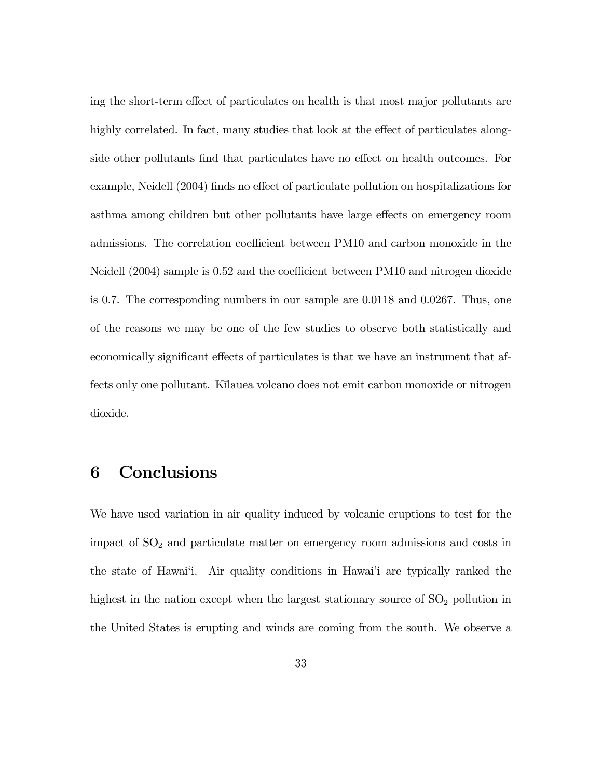ing the short-term effect of particulates on health is that most major pollutants are highly correlated. In fact, many studies that look at the effect of particulates alongside other pollutants find that particulates have no effect on health outcomes. For example, Neidell (2004) finds no effect of particulate pollution on hospitalizations for asthma among children but other pollutants have large effects on emergency room admissions. The correlation coefficient between PM10 and carbon monoxide in the Neidell (2004) sample is 0.52 and the coefficient between PM10 and nitrogen dioxide is 0.7. The corresponding numbers in our sample are 0.0118 and 0.0267. Thus, one of the reasons we may be one of the few studies to observe both statistically and economically significant effects of particulates is that we have an instrument that affects only one pollutant. Kīlauea volcano does not emit carbon monoxide or nitrogen dioxide.

### 6 Conclusions

We have used variation in air quality induced by volcanic eruptions to test for the impact of  $SO<sub>2</sub>$  and particulate matter on emergency room admissions and costs in the state of Hawai'i. Air quality conditions in Hawai'i are typically ranked the highest in the nation except when the largest stationary source of  $SO<sub>2</sub>$  pollution in the United States is erupting and winds are coming from the south. We observe a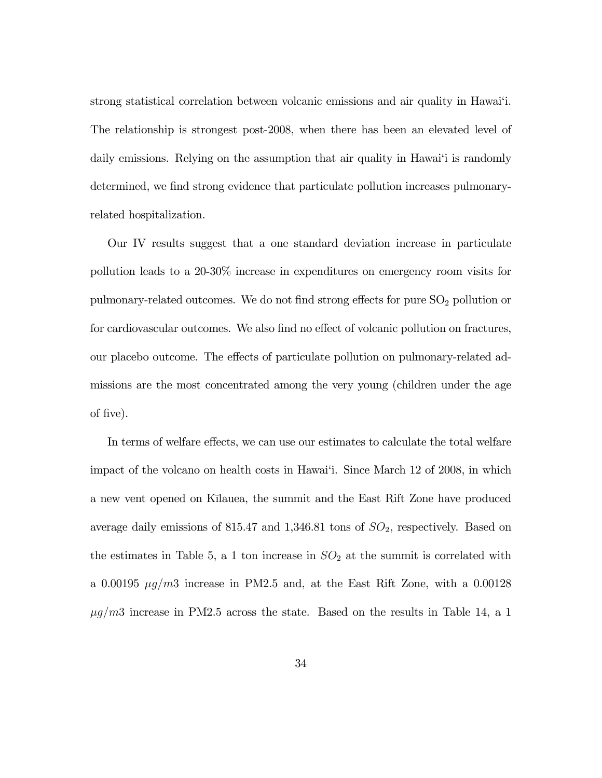strong statistical correlation between volcanic emissions and air quality in Hawai'i. The relationship is strongest post-2008, when there has been an elevated level of daily emissions. Relying on the assumption that air quality in Hawai'i is randomly determined, we find strong evidence that particulate pollution increases pulmonaryrelated hospitalization.

Our IV results suggest that a one standard deviation increase in particulate pollution leads to a 20-30% increase in expenditures on emergency room visits for pulmonary-related outcomes. We do not find strong effects for pure  $SO<sub>2</sub>$  pollution or for cardiovascular outcomes. We also find no effect of volcanic pollution on fractures, our placebo outcome. The effects of particulate pollution on pulmonary-related admissions are the most concentrated among the very young (children under the age of five).

In terms of welfare effects, we can use our estimates to calculate the total welfare impact of the volcano on health costs in Hawai'i. Since March 12 of 2008, in which a new vent opened on Kīlauea, the summit and the East Rift Zone have produced average daily emissions of 815.47 and 1,346.81 tons of  $SO_2$ , respectively. Based on the estimates in Table 5, a 1 ton increase in  $SO_2$  at the summit is correlated with a 0.00195  $\mu$ g/m3 increase in PM2.5 and, at the East Rift Zone, with a 0.00128  $\mu g/m3$  increase in PM2.5 across the state. Based on the results in Table 14, a 1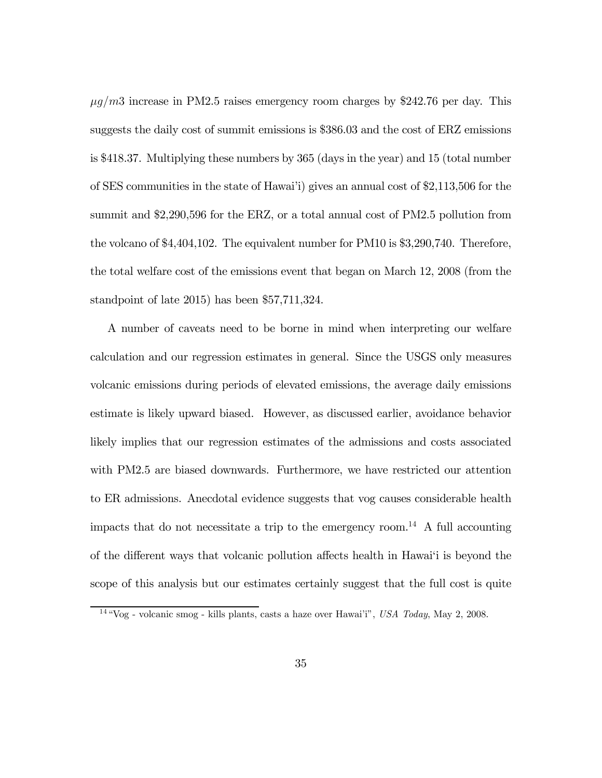$\mu$ g/m3 increase in PM2.5 raises emergency room charges by \$242.76 per day. This suggests the daily cost of summit emissions is \$386.03 and the cost of ERZ emissions is \$418.37. Multiplying these numbers by 365 (days in the year) and 15 (total number of SES communities in the state of Hawai'i) gives an annual cost of \$2,113,506 for the summit and \$2,290,596 for the ERZ, or a total annual cost of PM2.5 pollution from the volcano of \$4,404,102. The equivalent number for PM10 is \$3,290,740. Therefore, the total welfare cost of the emissions event that began on March 12, 2008 (from the standpoint of late 2015) has been \$57,711,324.

A number of caveats need to be borne in mind when interpreting our welfare calculation and our regression estimates in general. Since the USGS only measures volcanic emissions during periods of elevated emissions, the average daily emissions estimate is likely upward biased. However, as discussed earlier, avoidance behavior likely implies that our regression estimates of the admissions and costs associated with PM2.5 are biased downwards. Furthermore, we have restricted our attention to ER admissions. Anecdotal evidence suggests that vog causes considerable health impacts that do not necessitate a trip to the emergency room.<sup>14</sup> A full accounting of the different ways that volcanic pollution affects health in Hawai'i is beyond the scope of this analysis but our estimates certainly suggest that the full cost is quite

<sup>14</sup> "Vog - volcanic smog - kills plants, casts a haze over Hawai'i", USA Today, May 2, 2008.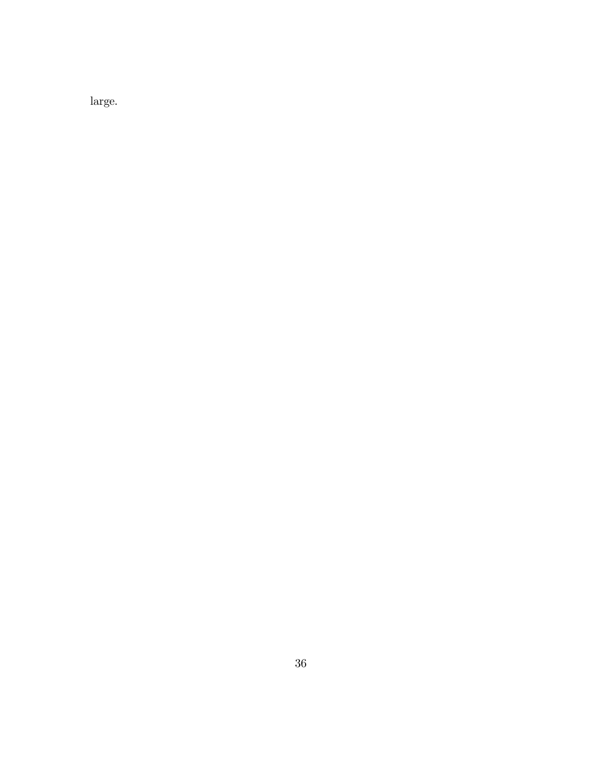large.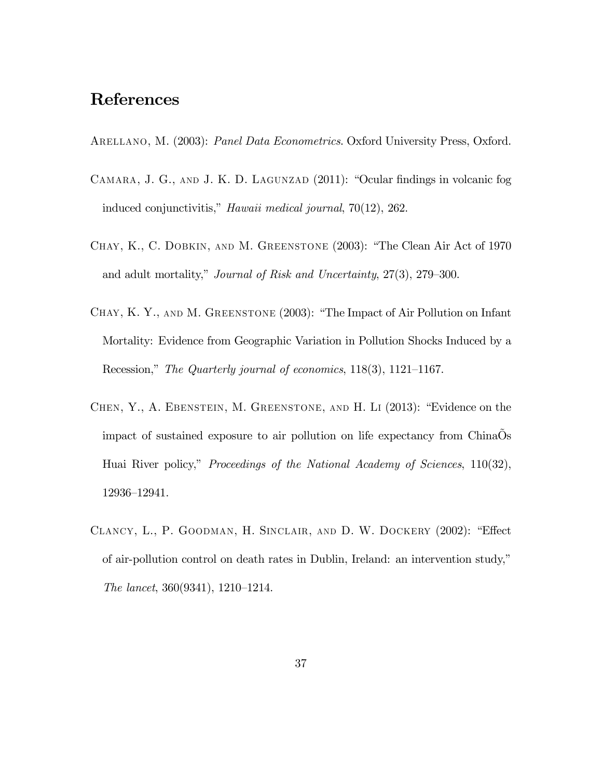# References

ARELLANO, M. (2003): *Panel Data Econometrics*. Oxford University Press, Oxford.

- CAMARA, J. G., AND J. K. D. LAGUNZAD (2011): "Ocular findings in volcanic fog induced conjunctivitis," Hawaii medical journal, 70(12), 262.
- Chay, K., C. Dobkin, and M. Greenstone (2003): "The Clean Air Act of 1970 and adult mortality," Journal of Risk and Uncertainty, 27(3), 279—300.
- Chay, K. Y., and M. Greenstone (2003): "The Impact of Air Pollution on Infant Mortality: Evidence from Geographic Variation in Pollution Shocks Induced by a Recession," The Quarterly journal of economics, 118(3), 1121—1167.
- Chen, Y., A. Ebenstein, M. Greenstone, and H. Li (2013): "Evidence on the impact of sustained exposure to air pollution on life expectancy from ChinaÕs Huai River policy," *Proceedings of the National Academy of Sciences*, 110(32), 12936—12941.
- Clancy, L., P. Goodman, H. Sinclair, and D. W. Dockery (2002): "Effect of air-pollution control on death rates in Dublin, Ireland: an intervention study," The lancet, 360(9341), 1210—1214.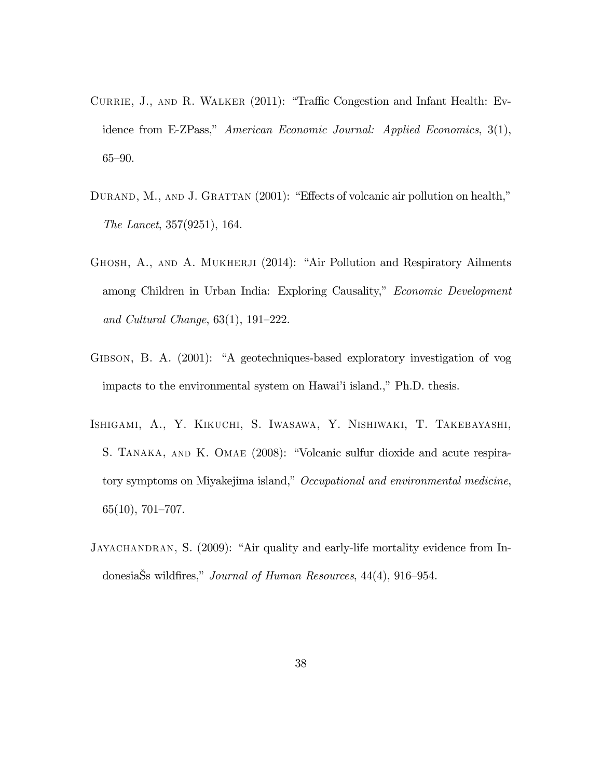- CURRIE, J., AND R. WALKER (2011): "Traffic Congestion and Infant Health: Evidence from E-ZPass," American Economic Journal: Applied Economics, 3(1), 65—90.
- DURAND, M., AND J. GRATTAN (2001): "Effects of volcanic air pollution on health," The Lancet, 357(9251), 164.
- GHOSH, A., AND A. MUKHERJI (2014): "Air Pollution and Respiratory Ailments among Children in Urban India: Exploring Causality," Economic Development and Cultural Change, 63(1), 191—222.
- Gibson, B. A. (2001): "A geotechniques-based exploratory investigation of vog impacts to the environmental system on Hawai'i island.," Ph.D. thesis.
- Ishigami, A., Y. Kikuchi, S. Iwasawa, Y. Nishiwaki, T. Takebayashi, S. TANAKA, AND K. OMAE (2008): "Volcanic sulfur dioxide and acute respiratory symptoms on Miyakejima island," Occupational and environmental medicine, 65(10), 701—707.
- JAYACHANDRAN, S. (2009): "Air quality and early-life mortality evidence from IndonesiaŠs wildfires," Journal of Human Resources, 44(4), 916—954.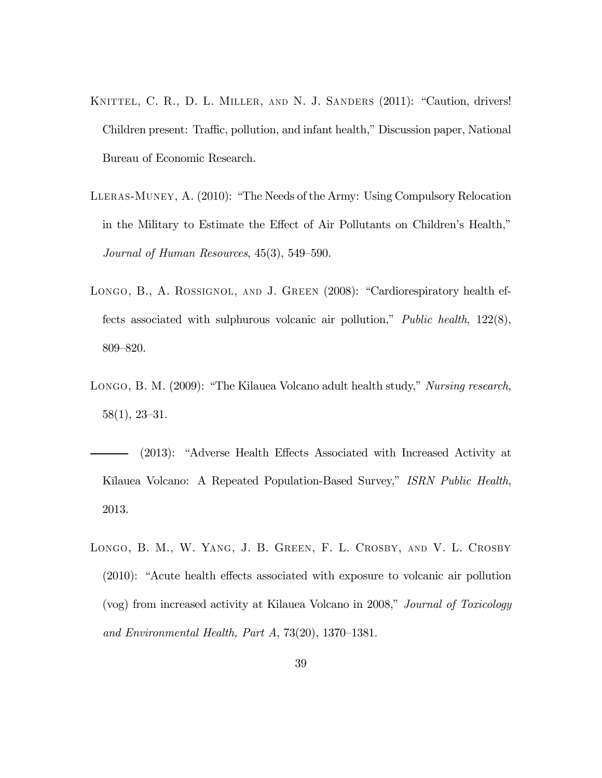- KNITTEL, C. R., D. L. MILLER, AND N. J. SANDERS (2011): "Caution, drivers! Children present: Traffic, pollution, and infant health," Discussion paper, National Bureau of Economic Research.
- Lleras-Muney, A. (2010): "The Needs of the Army: Using Compulsory Relocation in the Military to Estimate the Effect of Air Pollutants on Children's Health," Journal of Human Resources, 45(3), 549—590.
- LONGO, B., A. ROSSIGNOL, AND J. GREEN (2008): "Cardiorespiratory health effects associated with sulphurous volcanic air pollution," Public health, 122(8), 809—820.
- Longo, B. M. (2009): "The Kilauea Volcano adult health study," Nursing research, 58(1), 23—31.
- (2013): "Adverse Health Effects Associated with Increased Activity at Kīlauea Volcano: A Repeated Population-Based Survey," ISRN Public Health, 2013.
- Longo, B. M., W. Yang, J. B. Green, F. L. Crosby, and V. L. Crosby (2010): "Acute health effects associated with exposure to volcanic air pollution (vog) from increased activity at Kilauea Volcano in 2008," Journal of Toxicology and Environmental Health, Part A, 73(20), 1370—1381.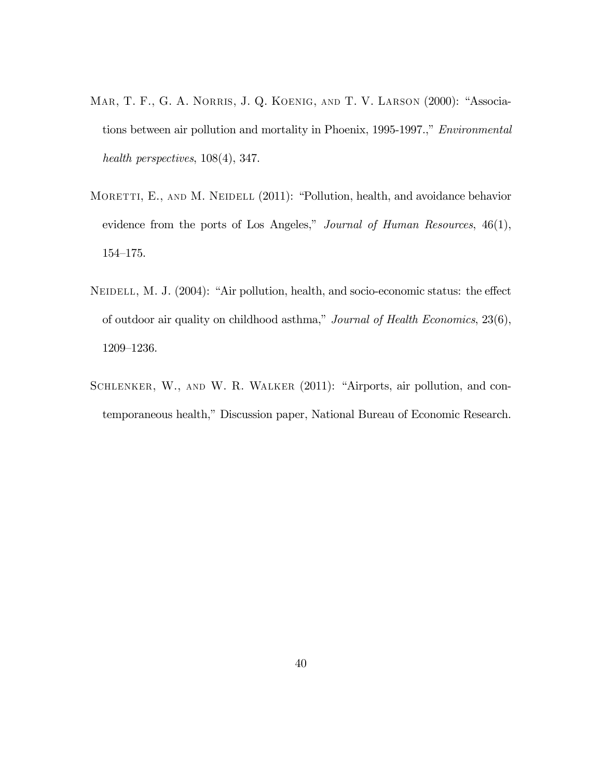- Mar, T. F., G. A. Norris, J. Q. Koenig, and T. V. Larson (2000): "Associations between air pollution and mortality in Phoenix, 1995-1997.," Environmental health perspectives, 108(4), 347.
- MORETTI, E., AND M. NEIDELL (2011): "Pollution, health, and avoidance behavior evidence from the ports of Los Angeles," Journal of Human Resources, 46(1), 154—175.
- NEIDELL, M. J. (2004): "Air pollution, health, and socio-economic status: the effect of outdoor air quality on childhood asthma," Journal of Health Economics, 23(6), 1209—1236.
- SCHLENKER, W., AND W. R. WALKER (2011): "Airports, air pollution, and contemporaneous health," Discussion paper, National Bureau of Economic Research.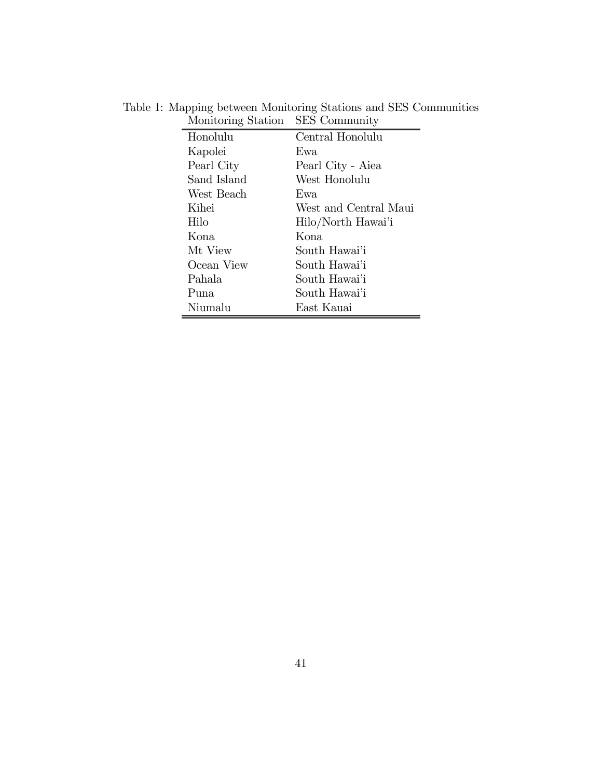| Honolulu    | Central Honolulu      |
|-------------|-----------------------|
| Kapolei     | Ewa                   |
| Pearl City  | Pearl City - Aiea     |
| Sand Island | West Honolulu         |
| West Beach  | Ewa.                  |
| Kihei       | West and Central Maui |
| Hilo        | Hilo/North Hawai'i    |
| Kona.       | Kona                  |
| Mt View     | South Hawai'i         |
| Ocean View  | South Hawai'i         |
| Pahala      | South Hawai'i         |
| Puna.       | South Hawai'i         |
| Niumalu     | East Kauai            |

Table 1: Mapping between Monitoring Stations and SES Communities Monitoring Station SES Community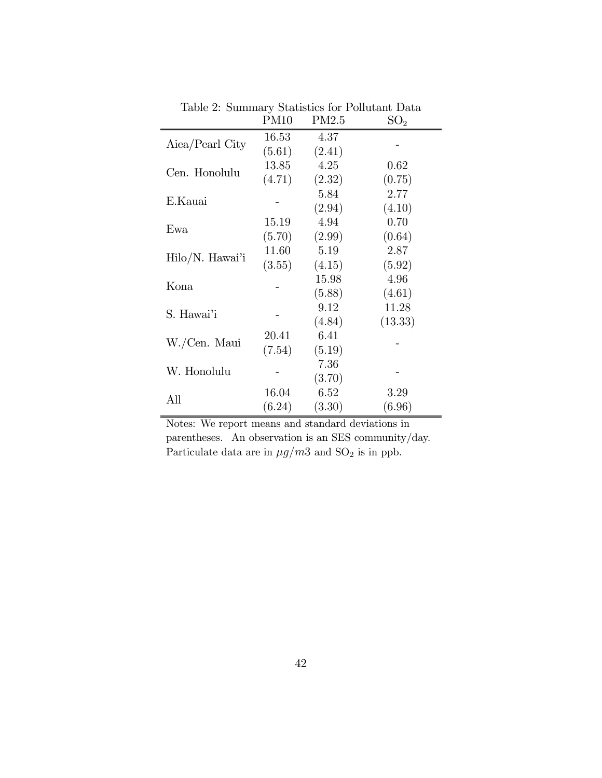|                 | <b>PM10</b> | PM2.5  | SO <sub>2</sub> |
|-----------------|-------------|--------|-----------------|
| Aiea/Pearl City | 16.53       | 4.37   |                 |
|                 | (5.61)      | (2.41) |                 |
| Cen. Honolulu   | 13.85       | 4.25   | 0.62            |
|                 | (4.71)      | (2.32) | (0.75)          |
| E.Kauai         |             | 5.84   | 2.77            |
|                 |             | (2.94) | (4.10)          |
| Ewa             | 15.19       | 4.94   | 0.70            |
|                 | (5.70)      | (2.99) | (0.64)          |
| Hilo/N. Hawa'i  | 11.60       | 5.19   | 2.87            |
|                 | (3.55)      | (4.15) | (5.92)          |
| Kona            |             | 15.98  | 4.96            |
|                 |             | (5.88) | (4.61)          |
| S. Hawai'i      |             | 9.12   | 11.28           |
|                 |             | (4.84) | (13.33)         |
| W./Cen. Maui    | 20.41       | 6.41   |                 |
|                 | (7.54)      | (5.19) |                 |
| W. Honolulu     |             | 7.36   |                 |
|                 |             | (3.70) |                 |
| All             | 16.04       | 6.52   | 3.29            |
|                 | (6.24)      | (3.30) | (6.96)          |

Table 2: Summary Statistics for Pollutant Data

Notes: We report means and standard deviations in parentheses. An observation is an SES community/day. Particulate data are in  $\mu g/m3$  and  ${\rm SO}_2$  is in ppb.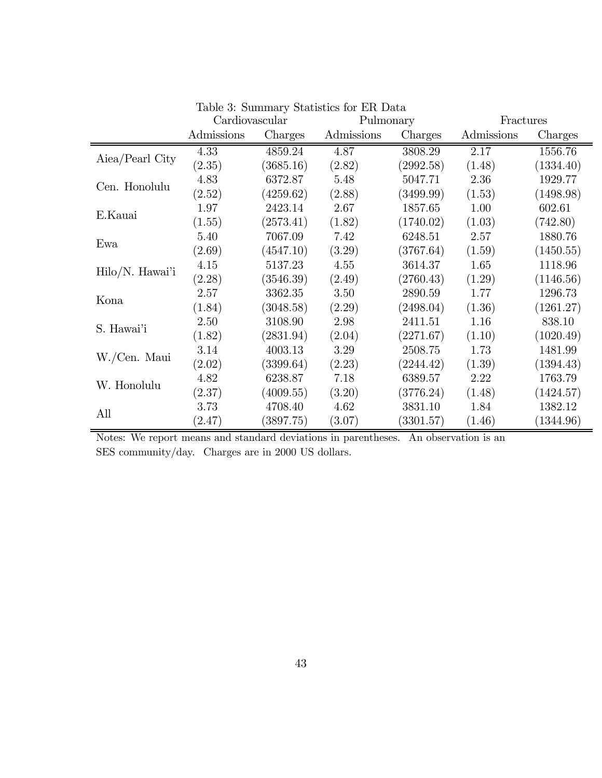|                 | Cardiovascular |           | Pulmonary  |           | Fractures  |           |
|-----------------|----------------|-----------|------------|-----------|------------|-----------|
|                 | Admissions     | Charges   | Admissions | Charges   | Admissions | Charges   |
|                 | 4.33           | 4859.24   | 4.87       | 3808.29   | 2.17       | 1556.76   |
| Aiea/Pearl City | (2.35)         | (3685.16) | (2.82)     | (2992.58) | (1.48)     | (1334.40) |
| Cen. Honolulu   | 4.83           | 6372.87   | 5.48       | 5047.71   | 2.36       | 1929.77   |
|                 | (2.52)         | (4259.62) | (2.88)     | (3499.99) | (1.53)     | (1498.98) |
|                 | 1.97           | 2423.14   | 2.67       | 1857.65   | 1.00       | 602.61    |
| E.Kauai         | (1.55)         | (2573.41) | (1.82)     | (1740.02) | (1.03)     | (742.80)  |
|                 | 5.40           | 7067.09   | 7.42       | 6248.51   | 2.57       | 1880.76   |
| Ewa             | (2.69)         | (4547.10) | (3.29)     | (3767.64) | (1.59)     | (1450.55) |
| Hilo/N. Hawai'i | 4.15           | 5137.23   | 4.55       | 3614.37   | 1.65       | 1118.96   |
|                 | (2.28)         | (3546.39) | (2.49)     | (2760.43) | (1.29)     | (1146.56) |
| Kona            | 2.57           | 3362.35   | 3.50       | 2890.59   | 1.77       | 1296.73   |
|                 | (1.84)         | (3048.58) | (2.29)     | (2498.04) | (1.36)     | (1261.27) |
| S. Hawai'i      | 2.50           | 3108.90   | 2.98       | 2411.51   | 1.16       | 838.10    |
|                 | (1.82)         | (2831.94) | (2.04)     | (2271.67) | (1.10)     | (1020.49) |
| W./Cen. Maui    | 3.14           | 4003.13   | 3.29       | 2508.75   | 1.73       | 1481.99   |
|                 | (2.02)         | (3399.64) | (2.23)     | (2244.42) | (1.39)     | (1394.43) |
| W. Honolulu     | 4.82           | 6238.87   | 7.18       | 6389.57   | 2.22       | 1763.79   |
|                 | (2.37)         | (4009.55) | (3.20)     | (3776.24) | (1.48)     | (1424.57) |
| All             | 3.73           | 4708.40   | 4.62       | 3831.10   | 1.84       | 1382.12   |
|                 | (2.47)         | (3897.75) | (3.07)     | (3301.57) | (1.46)     | (1344.96) |

|  | Table 3: Summary Statistics for ER Data |  |  |  |  |
|--|-----------------------------------------|--|--|--|--|
|--|-----------------------------------------|--|--|--|--|

Notes: We report means and standard deviations in parentheses. An observation is an SES community/day. Charges are in 2000 US dollars.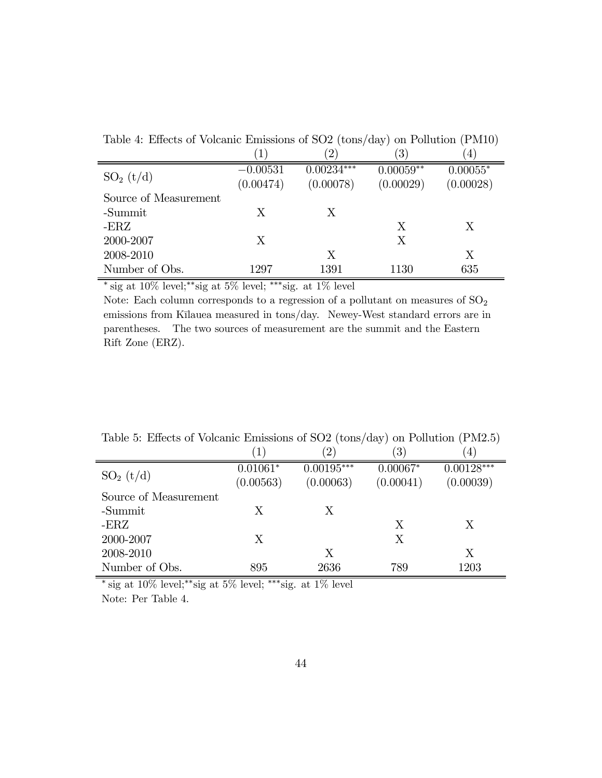|                       | $\mathbf 1$             | $\left( 2\right)$         | $\left( 3\right)$        | $\left(4\right)$        |
|-----------------------|-------------------------|---------------------------|--------------------------|-------------------------|
| $SO_2(t/d)$           | $-0.00531$<br>(0.00474) | $0.00234***$<br>(0.00078) | $0.00059**$<br>(0.00029) | $0.00055*$<br>(0.00028) |
| Source of Measurement |                         |                           |                          |                         |
| -Summit               | X                       | X                         |                          |                         |
| $-{\rm ERZ}$          |                         |                           | X                        | X                       |
| 2000-2007             | Χ                       |                           | X                        |                         |
| 2008-2010             |                         | X                         |                          | Χ                       |
| Number of Obs.        | 1297                    | 1391                      | 1130                     | 635                     |

Table 4: Effects of Volcanic Emissions of SO2 (tons/day) on Pollution (PM10)

 $\overline{\text{*_sig at 10\% level;}}$ \*\*sig at 5% level; \*\*\*sig. at 1% level

Note: Each column corresponds to a regression of a pollutant on measures of  $\mathrm{SO}_2$ emissions from Kīlauea measured in tons/day. Newey-West standard errors are in parentheses. The two sources of measurement are the summit and the Eastern Rift Zone (ERZ).

|                       | 1)                      | $\left( 2\right)$         | $\left(3\right)$        | $\left(4\right)$          |
|-----------------------|-------------------------|---------------------------|-------------------------|---------------------------|
| $SO_2(t/d)$           | $0.01061*$<br>(0.00563) | $0.00195***$<br>(0.00063) | $0.00067*$<br>(0.00041) | $0.00128***$<br>(0.00039) |
| Source of Measurement |                         |                           |                         |                           |
| -Summit               | X                       | X                         |                         |                           |
| -ERZ                  |                         |                           | X                       | Χ                         |
| 2000-2007             | Χ                       |                           | Χ                       |                           |
| 2008-2010             |                         | X                         |                         | X                         |
| Number of Obs.        | 895                     | 2636                      | 789                     | 1203                      |

Table 5: Effects of Volcanic Emissions of SO2 (tons/day) on Pollution (PM2.5)

 $\overline{\text{*_sig at 10\% level;**sig at 5\% level;***sig. at 1\% level}}}$ Note: Per Table 4.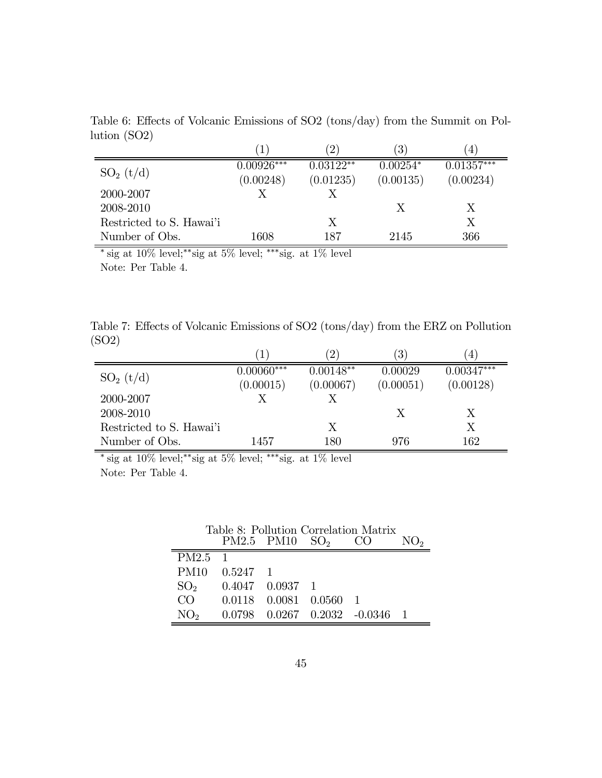Table 6: Effects of Volcanic Emissions of SO2 (tons/day) from the Summit on Pollution (SO2)

|                          | T            |             | $\mathfrak{3}^{\prime}$ | 4            |
|--------------------------|--------------|-------------|-------------------------|--------------|
|                          | $0.00926***$ | $0.03122**$ | $0.00254*$              | $0.01357***$ |
| $SO_2(t/d)$              | (0.00248)    | (0.01235)   | (0.00135)               | (0.00234)    |
| 2000-2007                | Х            |             |                         |              |
| 2008-2010                |              |             | X                       | Х            |
| Restricted to S. Hawai'i |              | Х           |                         | Х            |
| Number of Obs.           | 1608         | 187         | 2145                    | 366          |

 $^{*}$ sig at 10% level; $^{**}$ sig at 5% level; $^{***}$ sig. at 1% level Note: Per Table 4.

|       | Table 7: Effects of Volcanic Emissions of SO2 (tons/day) from the ERZ on Pollution |  |  |  |
|-------|------------------------------------------------------------------------------------|--|--|--|
| (SO2) |                                                                                    |  |  |  |

|                          | T            | $2^{\circ}$ | 3         | 4            |
|--------------------------|--------------|-------------|-----------|--------------|
|                          | $0.00060***$ | $0.00148**$ | 0.00029   | $0.00347***$ |
| $SO_2(t/d)$              | (0.00015)    | (0.00067)   | (0.00051) | (0.00128)    |
| 2000-2007                |              |             |           |              |
| 2008-2010                |              |             |           | Х            |
| Restricted to S. Hawai'i |              | X           |           | Х            |
| Number of Obs.           | 1457         | 180         | 976       | 162          |

 $*$  sig at 10% level;<sup>\*\*</sup>sig at 5% level; \*\*\*sig. at 1% level Note: Per Table 4.

| Table 8: Pollution Correlation Matrix |                  |                              |                 |                                        |  |  |
|---------------------------------------|------------------|------------------------------|-----------------|----------------------------------------|--|--|
|                                       | PM2.5 PM10       |                              | SO <sub>2</sub> |                                        |  |  |
| PM2.5 <sub>1</sub>                    |                  |                              |                 |                                        |  |  |
| PM <sub>10</sub>                      | $0.5247 \quad 1$ |                              |                 |                                        |  |  |
| SO <sub>2</sub>                       |                  | $0.4047$ $0.0937$ 1          |                 |                                        |  |  |
| CO                                    |                  | $0.0118$ $0.0081$ $0.0560$ 1 |                 |                                        |  |  |
| NO <sub>2</sub>                       |                  |                              |                 | $0.0798$ $0.0267$ $0.2032$ $-0.0346$ 1 |  |  |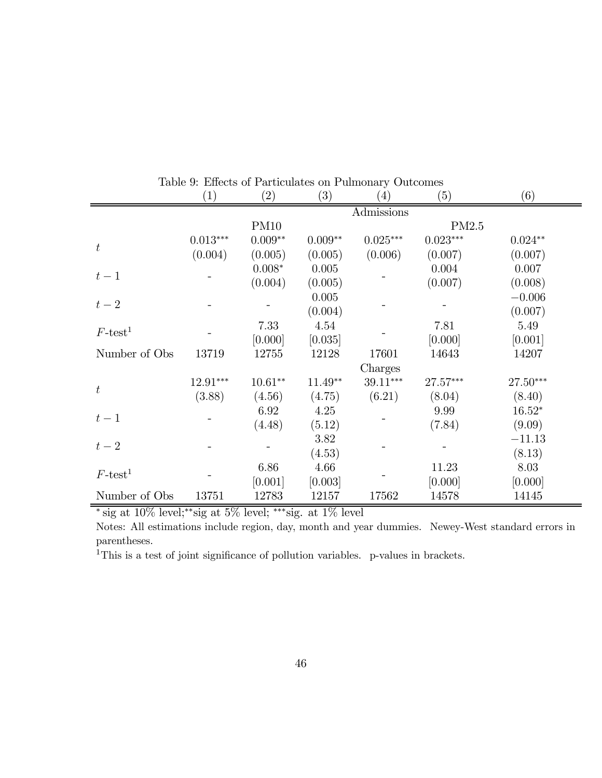|                   | $\left(1\right)$ | (2)         | (3)       | $\left( 4\right)$ | (5)        | (6)       |  |
|-------------------|------------------|-------------|-----------|-------------------|------------|-----------|--|
|                   | Admissions       |             |           |                   |            |           |  |
|                   |                  | <b>PM10</b> |           |                   | PM2.5      |           |  |
| $\boldsymbol{t}$  | $0.013***$       | $0.009**$   | $0.009**$ | $0.025***$        | $0.023***$ | $0.024**$ |  |
|                   | (0.004)          | (0.005)     | (0.005)   | (0.006)           | (0.007)    | (0.007)   |  |
|                   |                  | $0.008*$    | 0.005     |                   | 0.004      | 0.007     |  |
| $t-1$             |                  | (0.004)     | (0.005)   |                   | (0.007)    | (0.008)   |  |
|                   |                  |             | 0.005     |                   |            | $-0.006$  |  |
| $t-2$             |                  |             | (0.004)   |                   |            | (0.007)   |  |
| $F\text{-test}^1$ |                  | 7.33        | 4.54      |                   | 7.81       | 5.49      |  |
|                   |                  | [0.000]     | [0.035]   |                   | [0.000]    | [0.001]   |  |
| Number of Obs     | 13719            | 12755       | 12128     | 17601             | 14643      | 14207     |  |
|                   |                  |             |           | Charges           |            |           |  |
| $\boldsymbol{t}$  | $12.91***$       | $10.61**$   | $11.49**$ | $39.11***$        | 27.57***   | 27.50***  |  |
|                   | (3.88)           | (4.56)      | (4.75)    | (6.21)            | (8.04)     | (8.40)    |  |
| $t-1$             |                  | 6.92        | 4.25      |                   | 9.99       | $16.52*$  |  |
|                   |                  | (4.48)      | (5.12)    |                   | (7.84)     | (9.09)    |  |
| $t-2$             |                  |             | 3.82      |                   |            | $-11.13$  |  |
|                   |                  |             | (4.53)    |                   |            | (8.13)    |  |
| $F\text{-test}^1$ |                  | 6.86        | 4.66      |                   | 11.23      | 8.03      |  |
|                   |                  | [0.001]     | [0.003]   |                   | [0.000]    | [0.000]   |  |
| Number of Obs     | 13751            | 12783       | 12157     | 17562             | 14578      | 14145     |  |

Table 9: Effects of Particulates on Pulmonary Outcomes

<sup>∗</sup> sig at 10% level;∗∗sig at 5% level; ∗∗∗sig. at 1% level

Notes: All estimations include region, day, month and year dummies. Newey-West standard errors in parentheses.

 $1$ This is a test of joint significance of pollution variables. p-values in brackets.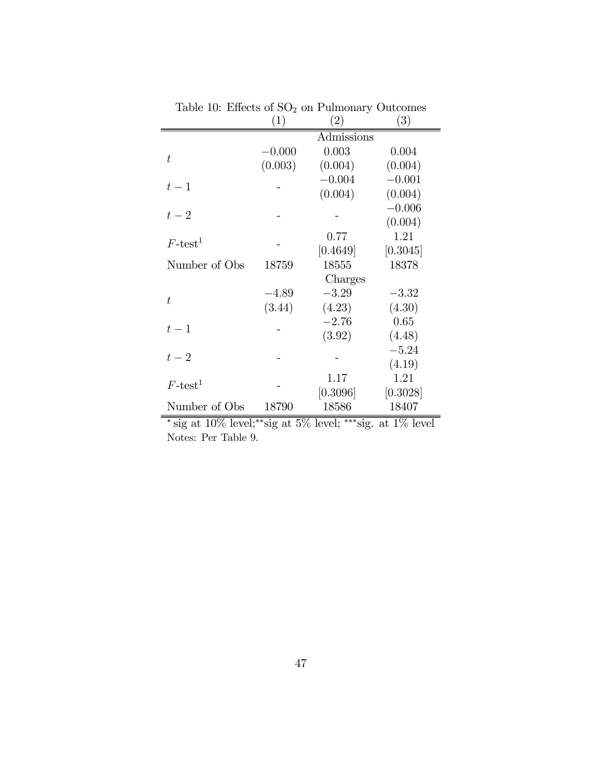|                   | (1)      | $\left( 2\right)$ | (3)      |
|-------------------|----------|-------------------|----------|
|                   |          | Admissions        |          |
| t                 | $-0.000$ | 0.003             | 0.004    |
|                   | (0.003)  | (0.004)           | (0.004)  |
|                   |          | $-0.004$          | $-0.001$ |
| $t-1$             |          | (0.004)           | (0.004)  |
|                   |          |                   | $-0.006$ |
| $t-2$             |          |                   | (0.004)  |
| $F\text{-test}^1$ |          | 0.77              | 1.21     |
|                   |          | [0.4649]          | [0.3045] |
| Number of Obs     | 18759    | 18555             | 18378    |
|                   |          | Charges           |          |
| t.                | $-4.89$  | $-3.29$           | $-3.32$  |
|                   | (3.44)   | (4.23)            | (4.30)   |
| $t-1$             |          | $-2.76$           | 0.65     |
|                   |          | (3.92)            | (4.48)   |
| $t-2$             |          |                   | $-5.24$  |
|                   |          |                   | (4.19)   |
| $F\text{-test}^1$ |          | 1.17              | 1.21     |
|                   |          | [0.3096]          | [0.3028] |
| Number of Obs     | 18790    | 18586             | 18407    |

Table 10: Effects of  $\mathrm{SO}_2$  on Pulmonary Outcomes

 $^{*}$ sig at 10% level; $^{**}$ sig at 5% level; $^{***}$ sig. at 1% level Notes: Per Table 9.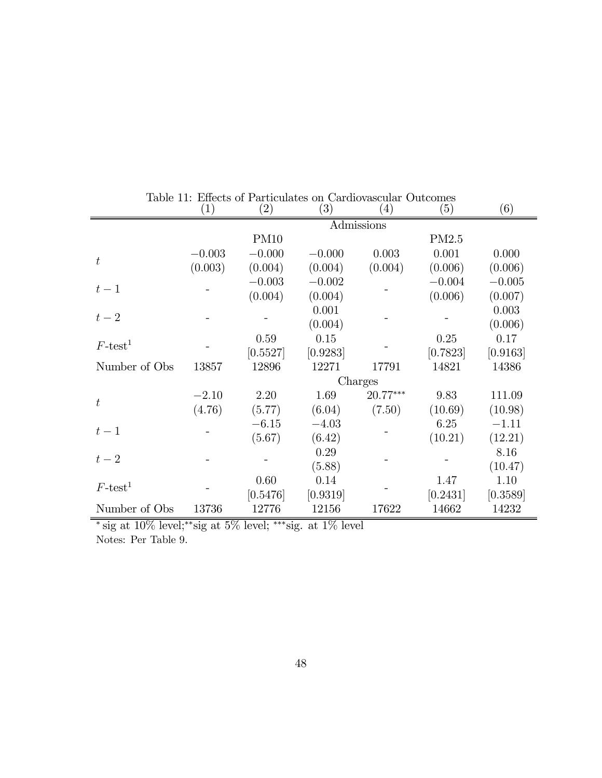|                   | $\left( 1\right)$ | $\left( 2\right)$ | $\left( 3\right)$ | $\left(4\right)$ | (5)                                                                                  | (6)      |
|-------------------|-------------------|-------------------|-------------------|------------------|--------------------------------------------------------------------------------------|----------|
|                   | Admissions        |                   |                   |                  |                                                                                      |          |
|                   |                   | <b>PM10</b>       |                   |                  | PM2.5                                                                                |          |
| $\boldsymbol{t}$  | $-0.003$          | $-0.000$          | $-0.000$          | 0.003            | 0.001                                                                                | 0.000    |
|                   | (0.003)           | (0.004)           | (0.004)           | (0.004)          | (0.006)                                                                              | (0.006)  |
|                   |                   | $-0.003$          | $-0.002$          |                  | $-0.004$                                                                             | $-0.005$ |
| $t-1$             |                   | (0.004)           | (0.004)           |                  | (0.006)                                                                              | (0.007)  |
|                   |                   |                   | 0.001             |                  |                                                                                      | 0.003    |
| $t-2$             |                   |                   | (0.004)           |                  |                                                                                      | (0.006)  |
| $F\text{-test}^1$ |                   | 0.59              | 0.15              |                  | 0.25                                                                                 | 0.17     |
|                   |                   | [0.5527]          | [0.9283]          |                  | [0.7823]<br>14821<br>9.83<br>(10.69)<br>6.25<br>(10.21)<br>1.47<br>[0.2431]<br>14662 | [0.9163] |
| Number of Obs     | 13857             | 12896             | 12271             | 17791            |                                                                                      | 14386    |
|                   |                   |                   |                   | Charges          |                                                                                      |          |
| $t\,$             | $-2.10$           | 2.20              | 1.69              | $20.77***$       |                                                                                      | 111.09   |
|                   | (4.76)            | (5.77)            | (6.04)            | (7.50)           |                                                                                      | (10.98)  |
| $t-1$             |                   | $-6.15$           | $-4.03$           |                  |                                                                                      | $-1.11$  |
|                   |                   | (5.67)            | (6.42)            |                  |                                                                                      | (12.21)  |
| $t-2$             |                   |                   | 0.29              |                  |                                                                                      | 8.16     |
|                   |                   |                   | (5.88)            |                  |                                                                                      | (10.47)  |
| $F\text{-test}^1$ |                   | 0.60              | 0.14              |                  |                                                                                      | 1.10     |
|                   |                   | [0.5476]          | [0.9319]          |                  |                                                                                      | [0.3589] |
| Number of Obs     | 13736             | 12776             | 12156             | 17622            |                                                                                      | 14232    |

Table 11: Effects of Particulates on Cardiovascular Outcomes

<sup>∗</sup> sig at 10% level;∗∗sig at 5% level; ∗∗∗sig. at 1% level

Notes: Per Table 9.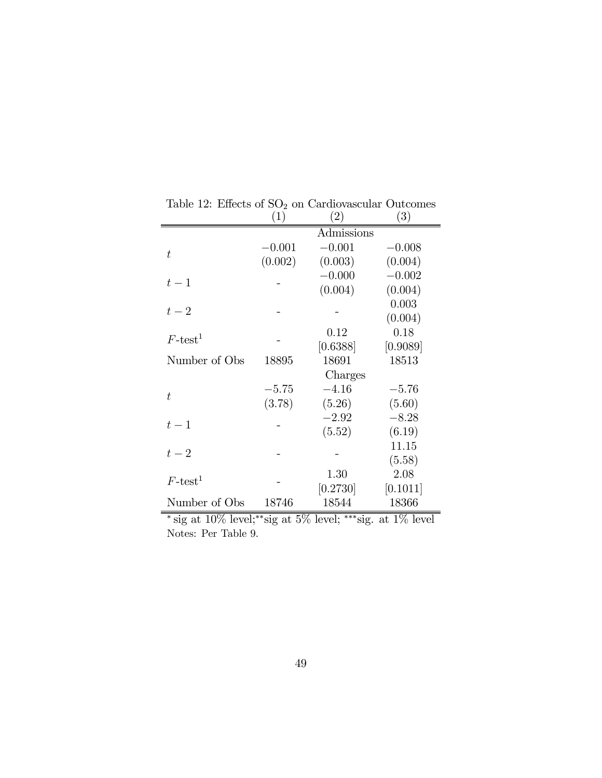|                                                                          | (1)      | (2)        | $\left( 3\right)$ |
|--------------------------------------------------------------------------|----------|------------|-------------------|
|                                                                          |          | Admissions |                   |
| $\bar{t}$                                                                | $-0.001$ | $-0.001$   | $-0.008$          |
|                                                                          | (0.002)  | (0.003)    | (0.004)           |
| $t-1$                                                                    |          | $-0.000$   | $-0.002$          |
|                                                                          |          | (0.004)    | (0.004)           |
| $t-2$                                                                    |          |            | 0.003             |
|                                                                          |          |            | (0.004)           |
| $F\text{-test}^1$                                                        |          | 0.12       | 0.18              |
|                                                                          |          | [0.6388]   | [0.9089]          |
| Number of Obs                                                            | 18895    | 18691      | 18513             |
|                                                                          |          | Charges    |                   |
| $\bar{t}$                                                                | $-5.75$  | $-4.16$    | $-5.76$           |
|                                                                          | (3.78)   | (5.26)     | (5.60)            |
| $t-1$                                                                    |          | $-2.92$    | $-8.28$           |
|                                                                          |          | (5.52)     | (6.19)            |
| $t-2$                                                                    |          |            | 11.15             |
|                                                                          |          |            | (5.58)            |
| $F\text{-test}^1$                                                        |          | 1.30       | 2.08              |
|                                                                          |          | $[0.2730]$ | [0.1011]          |
| Number of Obs                                                            | 18746    | 18544      | 18366             |
| $*$ sig at $10\%$ lovel: $*$ sig at $5\%$ lovel: $**$ sig at $1\%$ lovel |          |            |                   |

Table 12: Effects of  $SO<sub>2</sub>$  on Cardiovascular Outcomes

<sup>∗</sup> sig at 10% level;∗∗sig at 5% level; ∗∗∗sig. at 1% level Notes: Per Table 9.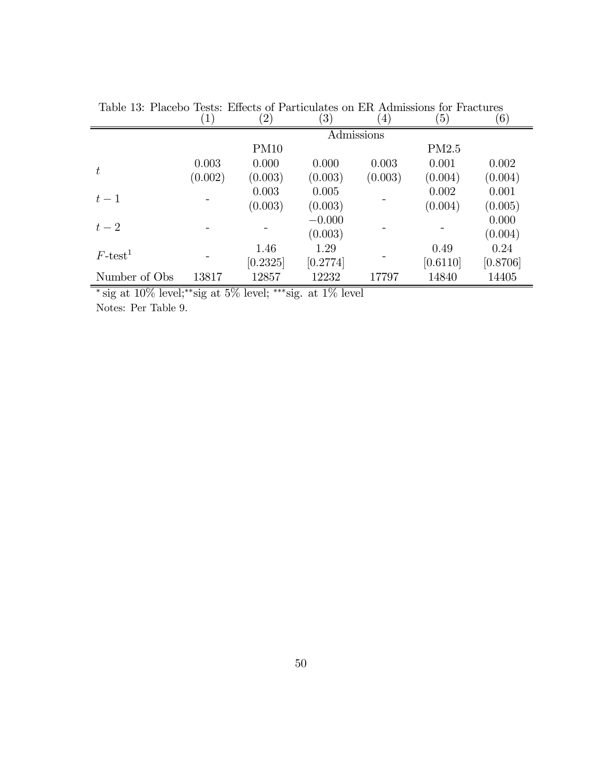|                   | $\left(1\right)$ | $\left( 2\right)$ | $\left( 3\right)$ | $\left( 4\right)$ | $\left(5\right)$                     | (6)      |
|-------------------|------------------|-------------------|-------------------|-------------------|--------------------------------------|----------|
|                   |                  |                   |                   | Admissions        |                                      |          |
|                   |                  | PM <sub>10</sub>  |                   |                   | PM2.5                                |          |
| $\boldsymbol{t}$  | 0.003            | 0.000             | 0.000             | 0.003             | 0.001                                | 0.002    |
|                   | (0.002)          | (0.003)           | (0.003)           | (0.003)           | (0.004)                              | (0.004)  |
| $t-1$             |                  | 0.003             | 0.005             |                   | 0.002                                | 0.001    |
|                   |                  | (0.003)           | (0.003)           |                   | (0.004)<br>0.49<br>[0.6110]<br>14840 | (0.005)  |
| $t-2$             |                  |                   | $-0.000$          |                   |                                      | 0.000    |
|                   |                  |                   | (0.003)           |                   |                                      | (0.004)  |
| $F\text{-test}^1$ |                  | 1.46              | 1.29              |                   |                                      | 0.24     |
|                   |                  | [0.2325]          | [0.2774]          |                   |                                      | [0.8706] |
| Number of Obs     | 13817            | 12857             | 12232             | 17797             |                                      | 14405    |

Table 13: Placebo Tests: Effects of Particulates on ER Admissions for Fractures

<sup>∗</sup> sig at 10% level;∗∗sig at 5% level; ∗∗∗sig. at 1% level

Notes: Per Table 9.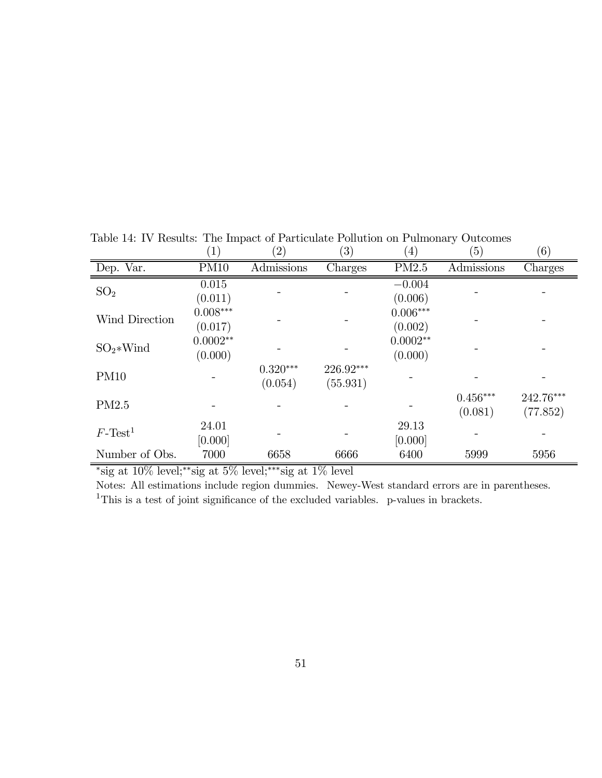|                        | $\left( 1\right)$     | $\left( 2\right)$     | $\left( 3\right)$     | $\left( 4\right)$     | (5)                   | (6)                   |
|------------------------|-----------------------|-----------------------|-----------------------|-----------------------|-----------------------|-----------------------|
| Dep. Var.              | <b>PM10</b>           | Admissions            | Charges               | PM2.5                 | Admissions            | Charges               |
| SO <sub>2</sub>        | 0.015<br>(0.011)      |                       |                       | $-0.004$<br>(0.006)   |                       |                       |
| Wind Direction         | $0.008***$<br>(0.017) |                       |                       | $0.006***$<br>(0.002) |                       |                       |
| $SO_2*Wind$            | $0.0002**$<br>(0.000) |                       |                       | $0.0002**$<br>(0.000) |                       |                       |
| PM10                   |                       | $0.320***$<br>(0.054) | 226.92***<br>(55.931) |                       |                       |                       |
| PM2.5                  |                       |                       |                       |                       | $0.456***$<br>(0.081) | 242.76***<br>(77.852) |
| $F$ -Test <sup>1</sup> | 24.01<br>[0.000]      |                       |                       | 29.13<br>[0.000]      |                       |                       |
| Number of Obs.         | 7000                  | 6658                  | 6666                  | 6400                  | 5999                  | 5956                  |

Table 14: IV Results: The Impact of Particulate Pollution on Pulmonary Outcomes

<sup>∗</sup>sig at 10% level;∗∗sig at 5% level;∗∗∗sig at 1% level

Notes: All estimations include region dummies. Newey-West standard errors are in parentheses.  $\rm ^1This$  is a test of joint significance of the excluded variables.  $\,$  p-values in brackets.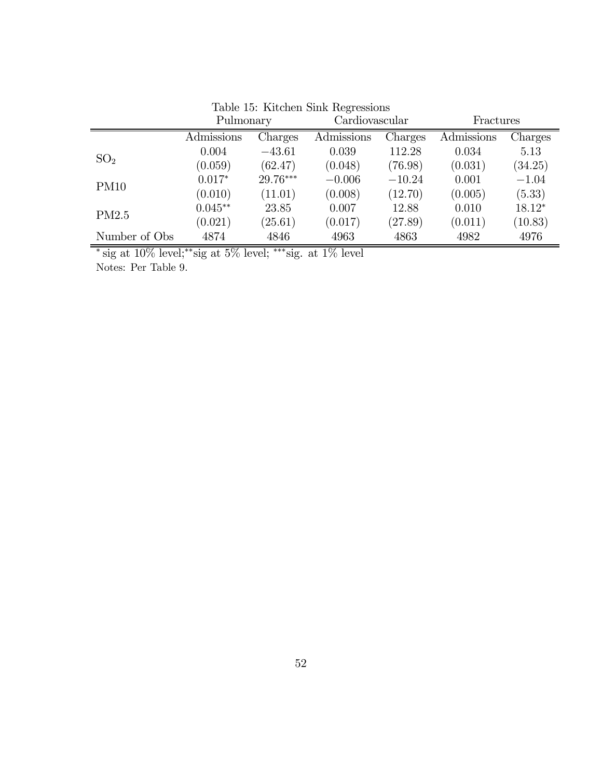|                 | Pulmonary  |          | Cardiovascular |          | Fractures  |          |
|-----------------|------------|----------|----------------|----------|------------|----------|
|                 | Admissions | Charges  | Admissions     | Charges  | Admissions | Charges  |
| SO <sub>2</sub> | 0.004      | $-43.61$ | 0.039          | 112.28   | 0.034      | 5.13     |
|                 | (0.059)    | (62.47)  | (0.048)        | (76.98)  | (0.031)    | (34.25)  |
| <b>PM10</b>     | $0.017*$   | 29.76*** | $-0.006$       | $-10.24$ | 0.001      | $-1.04$  |
|                 | (0.010)    | (11.01)  | (0.008)        | (12.70)  | (0.005)    | (5.33)   |
| PM2.5           | $0.045**$  | 23.85    | 0.007          | 12.88    | 0.010      | $18.12*$ |
|                 | (0.021)    | (25.61)  | (0.017)        | (27.89)  | (0.011)    | (10.83)  |
| Number of Obs   | 4874       | 4846     | 4963           | 4863     | 4982       | 4976     |

Table 15: Kitchen Sink Regressions

 $\overline{\phantom{a}}^*$  sig at  $10\%$  level;<sup>\*\*</sup>sig at 5% level; \*\*\*sig. at 1% level

Notes: Per Table 9.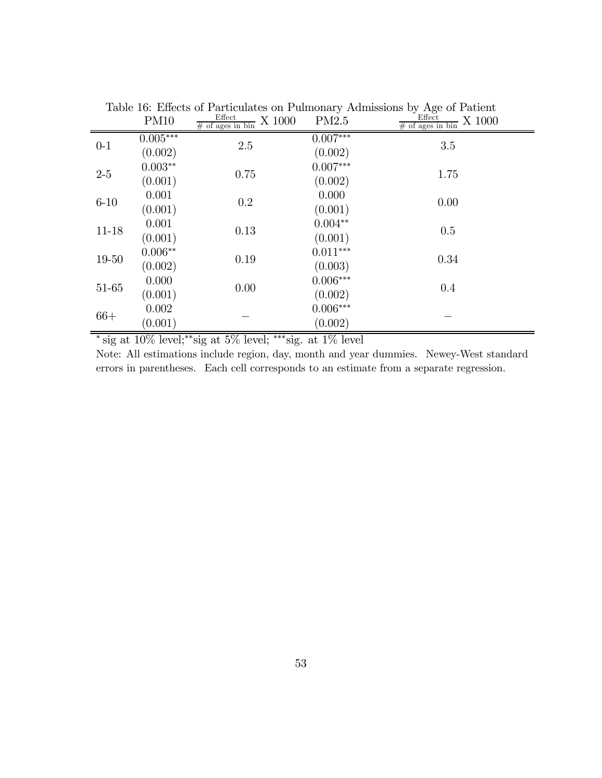|           | <b>PM10</b>           | Effect<br>X 1000<br>$#$ of ages in bin | PM2.5                      | $\circ$<br>Effect<br>X 1000<br>$\frac{\text{mecu}}{\text{\# of ages in bin}}$ |
|-----------|-----------------------|----------------------------------------|----------------------------|-------------------------------------------------------------------------------|
| $0-1$     | $0.005***$<br>(0.002) | 2.5                                    | $0.007***$<br>(0.002)      | 3.5                                                                           |
| $2-5\,$   | $0.003**$<br>(0.001)  | 0.75                                   | $0.007***$<br>(0.002)      | 1.75                                                                          |
| $6 - 10$  | 0.001<br>(0.001)      | $0.2\,$                                | 0.000<br>(0.001)           | 0.00                                                                          |
| $11 - 18$ | 0.001<br>(0.001)      | 0.13                                   | $0.004**$<br>(0.001)       | 0.5                                                                           |
| 19-50     | $0.006**$<br>(0.002)  | 0.19                                   | $0.011^{***}\,$<br>(0.003) | 0.34                                                                          |
| 51-65     | 0.000<br>(0.001)      | 0.00                                   | $0.006***$<br>(0.002)      | 0.4                                                                           |
| $66+$     | 0.002<br>(0.001)      |                                        | $0.006***$<br>(0.002)      |                                                                               |

Table 16: Effects of Particulates on Pulmonary Admissions by Age of Patient

<sup>∗</sup> sig at 10% level;∗∗sig at 5% level; ∗∗∗sig. at 1% level

Note: All estimations include region, day, month and year dummies. Newey-West standard errors in parentheses. Each cell corresponds to an estimate from a separate regression.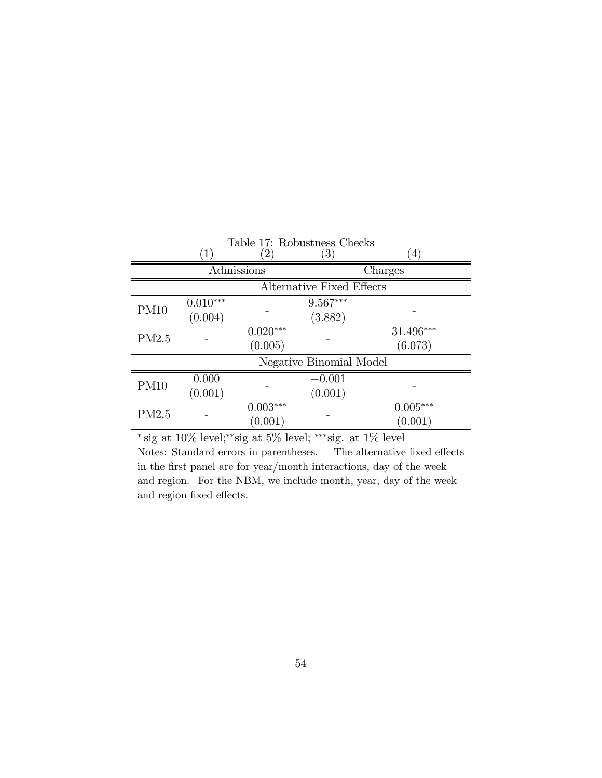| Table 17: Robustness Checks      |                   |                        |                         |                  |  |
|----------------------------------|-------------------|------------------------|-------------------------|------------------|--|
|                                  | $\left( 1\right)$ | $\left(2\right)$       | $\left( 3\right)$       | $\left(4\right)$ |  |
|                                  |                   | Admissions             |                         | Charges          |  |
| <b>Alternative Fixed Effects</b> |                   |                        |                         |                  |  |
| <b>PM10</b>                      | $0.010***$        |                        | $9.567***$              |                  |  |
|                                  | (0.004)           |                        | (3.882)                 |                  |  |
| PM2.5                            |                   | $0.020^{\ast\ast\ast}$ |                         | $31.496***$      |  |
|                                  |                   | (0.005)                |                         | (6.073)          |  |
|                                  |                   |                        | Negative Binomial Model |                  |  |
| PM10                             | 0.000             |                        | $-0.001$                |                  |  |
|                                  | (0.001)           |                        | (0.001)                 |                  |  |
| PM2.5                            |                   | $0.003***$             |                         | $0.005***$       |  |
|                                  |                   | (0.001)                |                         | (0.001)          |  |

 $*$  sig at 10% level;<sup>\*\*</sup>sig at 5% level; \*\*\*sig. at 1% level Notes: Standard errors in parentheses. The alternative fixed effects in the first panel are for year/month interactions, day of the week and region. For the NBM, we include month, year, day of the week and region fixed effects.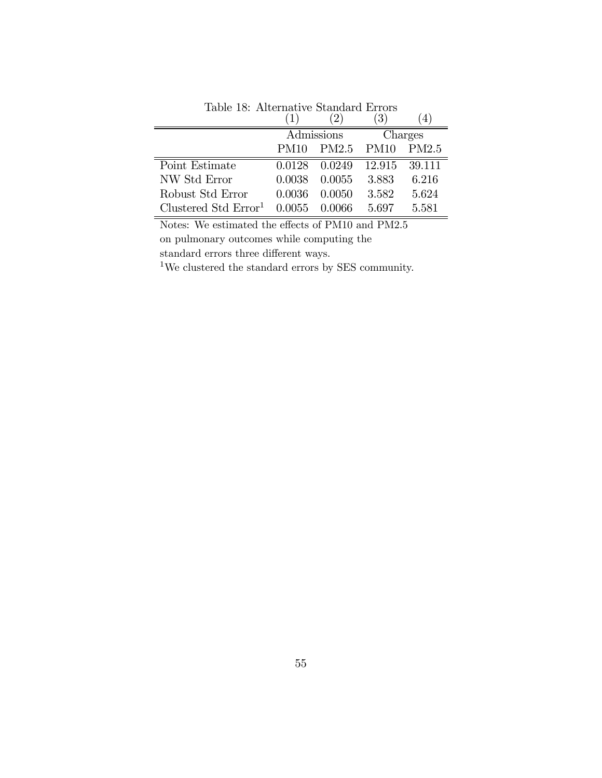|                                  |             |                                | 3      |         |
|----------------------------------|-------------|--------------------------------|--------|---------|
|                                  |             | $\overline{\text{Admissible}}$ |        | Charges |
|                                  | <b>PM10</b> | PM2.5 PM10                     |        | PM2.5   |
| Point Estimate                   | 0.0128      | 0.0249                         | 12.915 | 39.111  |
| NW Std Error                     | 0.0038      | 0.0055                         | 3.883  | 6.216   |
| Robust Std Error                 | 0.0036      | 0.0050                         | 3.582  | 5.624   |
| Clustered Std Error <sup>1</sup> | 0.0055      | 0.0066                         | 5 697  | 5.581   |

Table 18: Alternative Standard Errors

Notes: We estimated the effects of PM10 and PM2.5 on pulmonary outcomes while computing the standard errors three different ways.

 $^{\rm 1}{\rm We}$  clustered the standard errors by SES community.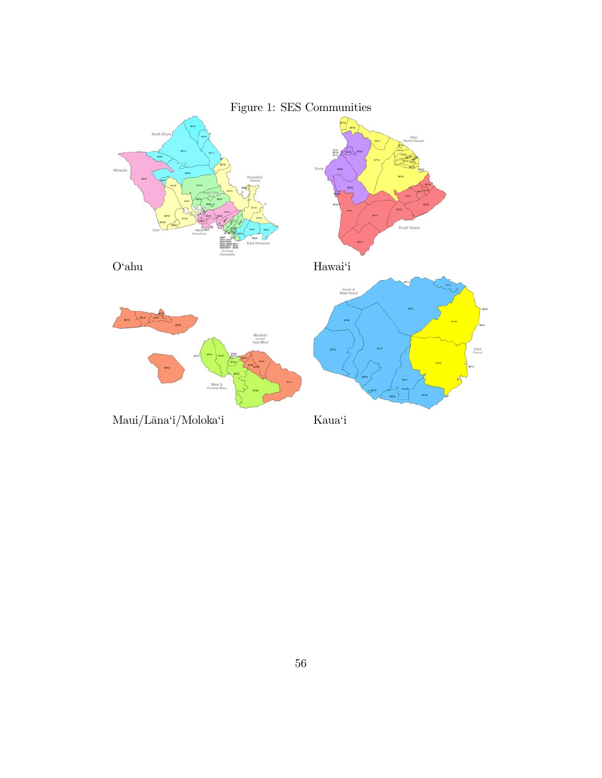

# Figure 1: SES Communities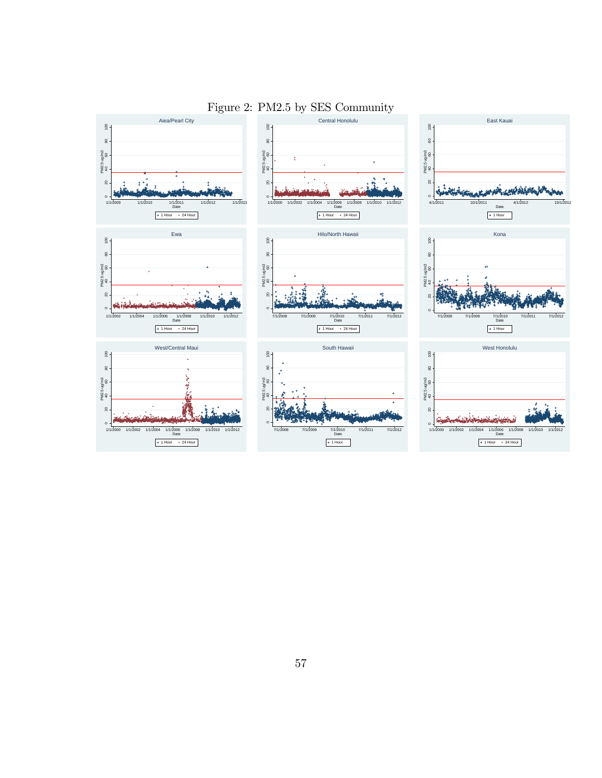

#### Figure 2: PM2.5 by SES Community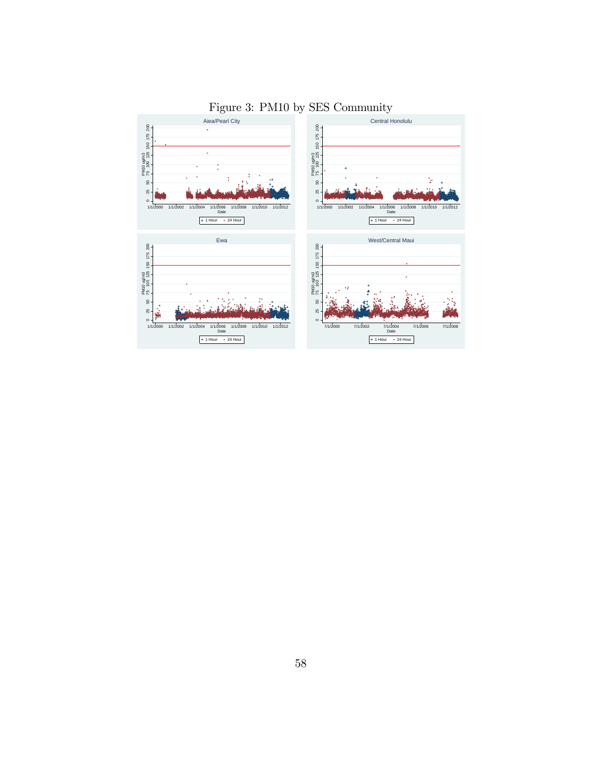

### Figure 3: PM10 by SES Community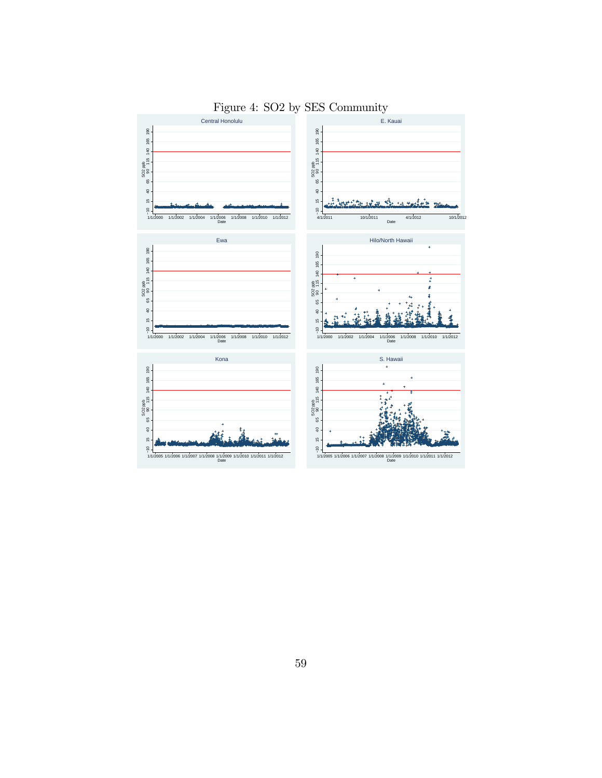

### Figure 4: SO2 by SES Community